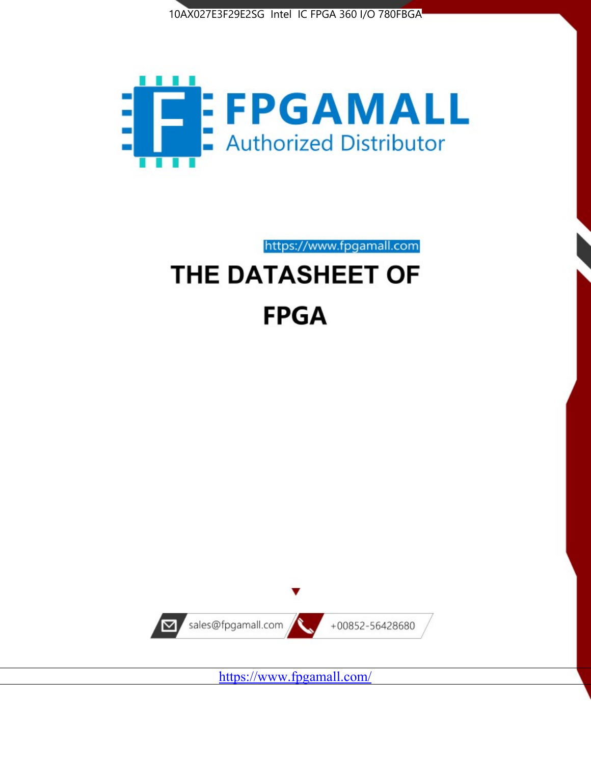



https://www.fpgamall.com

# THE DATASHEET OF **FPGA**



<https://www.fpgamall.com/>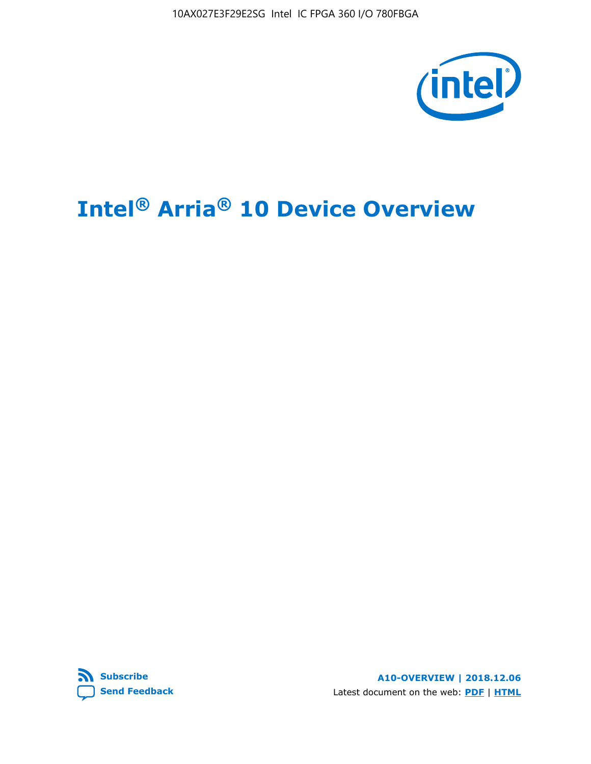10AX027E3F29E2SG Intel IC FPGA 360 I/O 780FBGA



# **Intel® Arria® 10 Device Overview**



**A10-OVERVIEW | 2018.12.06** Latest document on the web: **[PDF](https://www.intel.com/content/dam/www/programmable/us/en/pdfs/literature/hb/arria-10/a10_overview.pdf)** | **[HTML](https://www.intel.com/content/www/us/en/programmable/documentation/sam1403480274650.html)**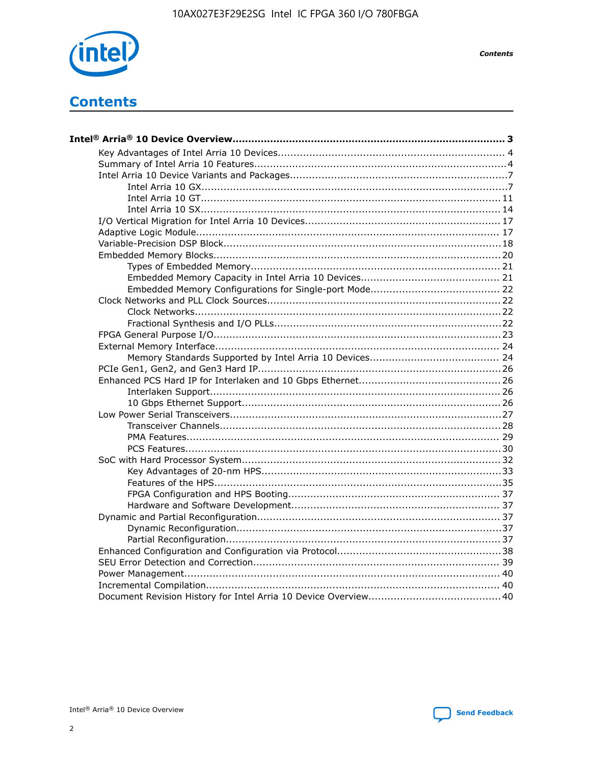

**Contents** 

## **Contents**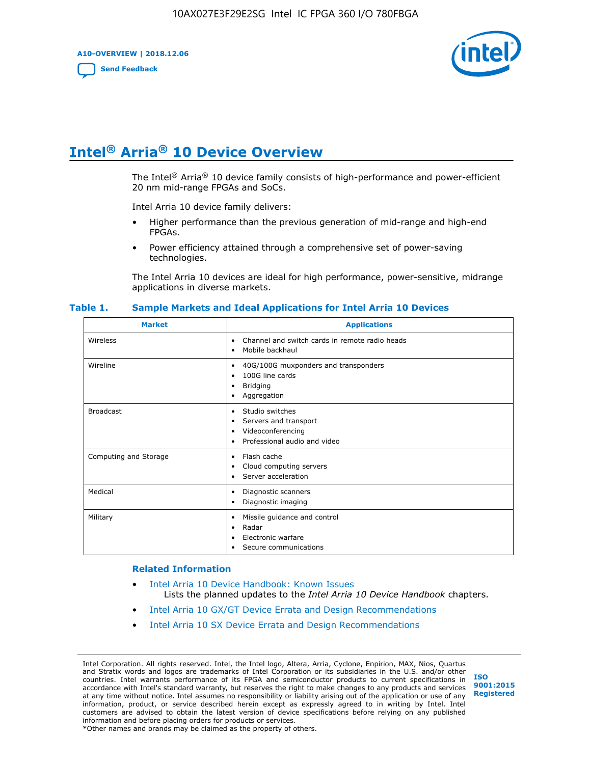**A10-OVERVIEW | 2018.12.06**

**[Send Feedback](mailto:FPGAtechdocfeedback@intel.com?subject=Feedback%20on%20Intel%20Arria%2010%20Device%20Overview%20(A10-OVERVIEW%202018.12.06)&body=We%20appreciate%20your%20feedback.%20In%20your%20comments,%20also%20specify%20the%20page%20number%20or%20paragraph.%20Thank%20you.)**



## **Intel® Arria® 10 Device Overview**

The Intel<sup>®</sup> Arria<sup>®</sup> 10 device family consists of high-performance and power-efficient 20 nm mid-range FPGAs and SoCs.

Intel Arria 10 device family delivers:

- Higher performance than the previous generation of mid-range and high-end FPGAs.
- Power efficiency attained through a comprehensive set of power-saving technologies.

The Intel Arria 10 devices are ideal for high performance, power-sensitive, midrange applications in diverse markets.

| <b>Market</b>         | <b>Applications</b>                                                                                               |
|-----------------------|-------------------------------------------------------------------------------------------------------------------|
| Wireless              | Channel and switch cards in remote radio heads<br>٠<br>Mobile backhaul<br>٠                                       |
| Wireline              | 40G/100G muxponders and transponders<br>٠<br>100G line cards<br>٠<br><b>Bridging</b><br>٠<br>Aggregation<br>٠     |
| <b>Broadcast</b>      | Studio switches<br>٠<br>Servers and transport<br>٠<br>Videoconferencing<br>٠<br>Professional audio and video<br>٠ |
| Computing and Storage | Flash cache<br>٠<br>Cloud computing servers<br>٠<br>Server acceleration<br>٠                                      |
| Medical               | Diagnostic scanners<br>٠<br>Diagnostic imaging<br>٠                                                               |
| Military              | Missile guidance and control<br>٠<br>Radar<br>٠<br>Electronic warfare<br>٠<br>Secure communications<br>٠          |

#### **Table 1. Sample Markets and Ideal Applications for Intel Arria 10 Devices**

#### **Related Information**

- [Intel Arria 10 Device Handbook: Known Issues](http://www.altera.com/support/kdb/solutions/rd07302013_646.html) Lists the planned updates to the *Intel Arria 10 Device Handbook* chapters.
- [Intel Arria 10 GX/GT Device Errata and Design Recommendations](https://www.intel.com/content/www/us/en/programmable/documentation/agz1493851706374.html#yqz1494433888646)
- [Intel Arria 10 SX Device Errata and Design Recommendations](https://www.intel.com/content/www/us/en/programmable/documentation/cru1462832385668.html#cru1462832558642)

Intel Corporation. All rights reserved. Intel, the Intel logo, Altera, Arria, Cyclone, Enpirion, MAX, Nios, Quartus and Stratix words and logos are trademarks of Intel Corporation or its subsidiaries in the U.S. and/or other countries. Intel warrants performance of its FPGA and semiconductor products to current specifications in accordance with Intel's standard warranty, but reserves the right to make changes to any products and services at any time without notice. Intel assumes no responsibility or liability arising out of the application or use of any information, product, or service described herein except as expressly agreed to in writing by Intel. Intel customers are advised to obtain the latest version of device specifications before relying on any published information and before placing orders for products or services. \*Other names and brands may be claimed as the property of others.

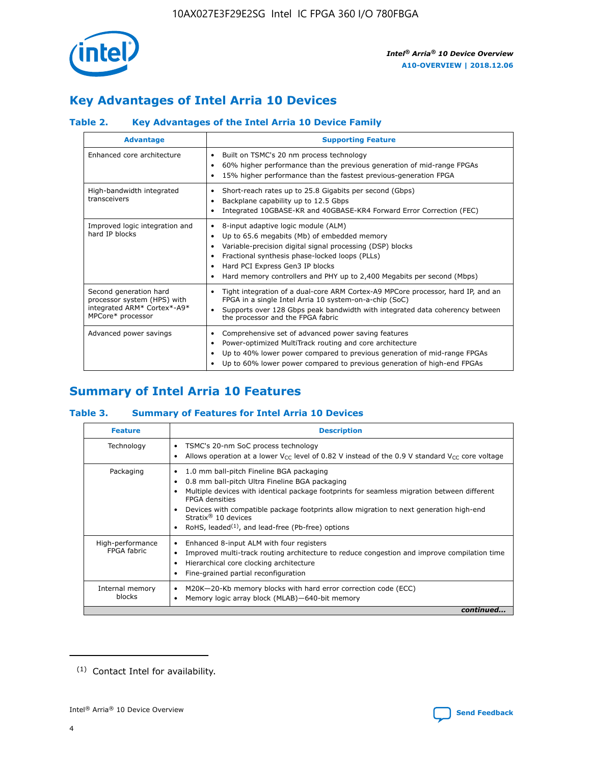

## **Key Advantages of Intel Arria 10 Devices**

#### **Table 2. Key Advantages of the Intel Arria 10 Device Family**

| <b>Advantage</b>                                                                                          | <b>Supporting Feature</b>                                                                                                                                                                                                                                                                                                |
|-----------------------------------------------------------------------------------------------------------|--------------------------------------------------------------------------------------------------------------------------------------------------------------------------------------------------------------------------------------------------------------------------------------------------------------------------|
| Enhanced core architecture                                                                                | Built on TSMC's 20 nm process technology<br>٠<br>60% higher performance than the previous generation of mid-range FPGAs<br>٠<br>15% higher performance than the fastest previous-generation FPGA<br>٠                                                                                                                    |
| High-bandwidth integrated<br>transceivers                                                                 | Short-reach rates up to 25.8 Gigabits per second (Gbps)<br>٠<br>Backplane capability up to 12.5 Gbps<br>٠<br>Integrated 10GBASE-KR and 40GBASE-KR4 Forward Error Correction (FEC)<br>٠                                                                                                                                   |
| Improved logic integration and<br>hard IP blocks                                                          | 8-input adaptive logic module (ALM)<br>٠<br>Up to 65.6 megabits (Mb) of embedded memory<br>٠<br>Variable-precision digital signal processing (DSP) blocks<br>Fractional synthesis phase-locked loops (PLLs)<br>Hard PCI Express Gen3 IP blocks<br>Hard memory controllers and PHY up to 2,400 Megabits per second (Mbps) |
| Second generation hard<br>processor system (HPS) with<br>integrated ARM* Cortex*-A9*<br>MPCore* processor | Tight integration of a dual-core ARM Cortex-A9 MPCore processor, hard IP, and an<br>٠<br>FPGA in a single Intel Arria 10 system-on-a-chip (SoC)<br>Supports over 128 Gbps peak bandwidth with integrated data coherency between<br>$\bullet$<br>the processor and the FPGA fabric                                        |
| Advanced power savings                                                                                    | Comprehensive set of advanced power saving features<br>٠<br>Power-optimized MultiTrack routing and core architecture<br>٠<br>Up to 40% lower power compared to previous generation of mid-range FPGAs<br>Up to 60% lower power compared to previous generation of high-end FPGAs                                         |

## **Summary of Intel Arria 10 Features**

#### **Table 3. Summary of Features for Intel Arria 10 Devices**

| <b>Feature</b>                  | <b>Description</b>                                                                                                                                                                                                                                                                                                                                                                                           |
|---------------------------------|--------------------------------------------------------------------------------------------------------------------------------------------------------------------------------------------------------------------------------------------------------------------------------------------------------------------------------------------------------------------------------------------------------------|
| Technology                      | TSMC's 20-nm SoC process technology<br>Allows operation at a lower $V_{\text{CC}}$ level of 0.82 V instead of the 0.9 V standard $V_{\text{CC}}$ core voltage                                                                                                                                                                                                                                                |
| Packaging                       | 1.0 mm ball-pitch Fineline BGA packaging<br>٠<br>0.8 mm ball-pitch Ultra Fineline BGA packaging<br>Multiple devices with identical package footprints for seamless migration between different<br><b>FPGA</b> densities<br>Devices with compatible package footprints allow migration to next generation high-end<br>Stratix <sup>®</sup> 10 devices<br>RoHS, leaded $(1)$ , and lead-free (Pb-free) options |
| High-performance<br>FPGA fabric | Enhanced 8-input ALM with four registers<br>Improved multi-track routing architecture to reduce congestion and improve compilation time<br>Hierarchical core clocking architecture<br>Fine-grained partial reconfiguration                                                                                                                                                                                   |
| Internal memory<br>blocks       | M20K-20-Kb memory blocks with hard error correction code (ECC)<br>Memory logic array block (MLAB)-640-bit memory                                                                                                                                                                                                                                                                                             |
|                                 | continued                                                                                                                                                                                                                                                                                                                                                                                                    |



<sup>(1)</sup> Contact Intel for availability.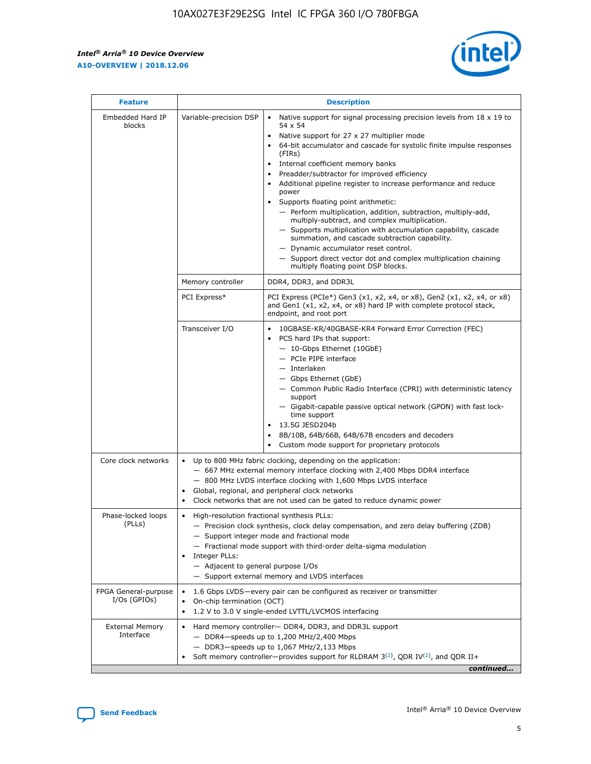$\mathsf{r}$ 



| <b>Feature</b>                         |                                                                                                                | <b>Description</b>                                                                                                                                                                                                                                                                                                                                                                                                                                                                                                                                                                                                                                                                                                                                                                                                                          |
|----------------------------------------|----------------------------------------------------------------------------------------------------------------|---------------------------------------------------------------------------------------------------------------------------------------------------------------------------------------------------------------------------------------------------------------------------------------------------------------------------------------------------------------------------------------------------------------------------------------------------------------------------------------------------------------------------------------------------------------------------------------------------------------------------------------------------------------------------------------------------------------------------------------------------------------------------------------------------------------------------------------------|
| Embedded Hard IP<br>blocks             | Variable-precision DSP                                                                                         | Native support for signal processing precision levels from $18 \times 19$ to<br>$\bullet$<br>54 x 54<br>Native support for 27 x 27 multiplier mode<br>64-bit accumulator and cascade for systolic finite impulse responses<br>(FIRS)<br>Internal coefficient memory banks<br>٠<br>Preadder/subtractor for improved efficiency<br>Additional pipeline register to increase performance and reduce<br>power<br>Supports floating point arithmetic:<br>- Perform multiplication, addition, subtraction, multiply-add,<br>multiply-subtract, and complex multiplication.<br>- Supports multiplication with accumulation capability, cascade<br>summation, and cascade subtraction capability.<br>- Dynamic accumulator reset control.<br>- Support direct vector dot and complex multiplication chaining<br>multiply floating point DSP blocks. |
|                                        | Memory controller                                                                                              | DDR4, DDR3, and DDR3L                                                                                                                                                                                                                                                                                                                                                                                                                                                                                                                                                                                                                                                                                                                                                                                                                       |
|                                        | PCI Express*                                                                                                   | PCI Express (PCIe*) Gen3 (x1, x2, x4, or x8), Gen2 (x1, x2, x4, or x8)<br>and Gen1 (x1, x2, x4, or x8) hard IP with complete protocol stack,<br>endpoint, and root port                                                                                                                                                                                                                                                                                                                                                                                                                                                                                                                                                                                                                                                                     |
|                                        | Transceiver I/O                                                                                                | 10GBASE-KR/40GBASE-KR4 Forward Error Correction (FEC)<br>PCS hard IPs that support:<br>- 10-Gbps Ethernet (10GbE)<br>- PCIe PIPE interface<br>- Interlaken<br>- Gbps Ethernet (GbE)<br>- Common Public Radio Interface (CPRI) with deterministic latency<br>support<br>- Gigabit-capable passive optical network (GPON) with fast lock-<br>time support<br>13.5G JESD204b<br>8B/10B, 64B/66B, 64B/67B encoders and decoders<br>Custom mode support for proprietary protocols                                                                                                                                                                                                                                                                                                                                                                |
| Core clock networks                    | $\bullet$                                                                                                      | Up to 800 MHz fabric clocking, depending on the application:<br>- 667 MHz external memory interface clocking with 2,400 Mbps DDR4 interface<br>- 800 MHz LVDS interface clocking with 1,600 Mbps LVDS interface<br>Global, regional, and peripheral clock networks<br>Clock networks that are not used can be gated to reduce dynamic power                                                                                                                                                                                                                                                                                                                                                                                                                                                                                                 |
| Phase-locked loops<br>(PLLs)           | High-resolution fractional synthesis PLLs:<br>$\bullet$<br>Integer PLLs:<br>- Adjacent to general purpose I/Os | - Precision clock synthesis, clock delay compensation, and zero delay buffering (ZDB)<br>- Support integer mode and fractional mode<br>- Fractional mode support with third-order delta-sigma modulation<br>- Support external memory and LVDS interfaces                                                                                                                                                                                                                                                                                                                                                                                                                                                                                                                                                                                   |
| FPGA General-purpose<br>$I/Os$ (GPIOs) | On-chip termination (OCT)<br>$\bullet$                                                                         | 1.6 Gbps LVDS-every pair can be configured as receiver or transmitter<br>1.2 V to 3.0 V single-ended LVTTL/LVCMOS interfacing                                                                                                                                                                                                                                                                                                                                                                                                                                                                                                                                                                                                                                                                                                               |
| <b>External Memory</b><br>Interface    |                                                                                                                | Hard memory controller- DDR4, DDR3, and DDR3L support<br>$-$ DDR4 $-$ speeds up to 1,200 MHz/2,400 Mbps<br>- DDR3-speeds up to 1,067 MHz/2,133 Mbps<br>Soft memory controller—provides support for RLDRAM $3^{(2)}$ , QDR IV $(2)$ , and QDR II+<br>continued                                                                                                                                                                                                                                                                                                                                                                                                                                                                                                                                                                               |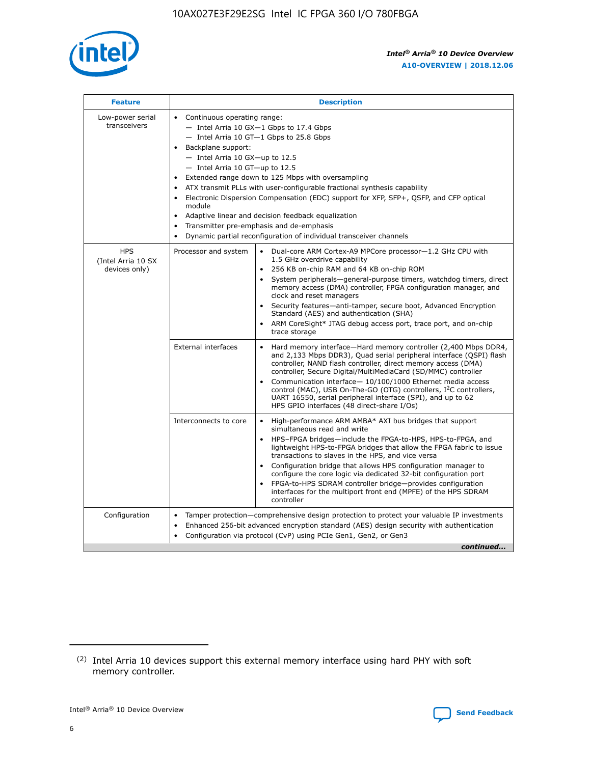

| <b>Feature</b>                                    | <b>Description</b>                                                                                                                                                                                                                                                                                                                                                                                                                                                                                                                                                                                                                                                        |
|---------------------------------------------------|---------------------------------------------------------------------------------------------------------------------------------------------------------------------------------------------------------------------------------------------------------------------------------------------------------------------------------------------------------------------------------------------------------------------------------------------------------------------------------------------------------------------------------------------------------------------------------------------------------------------------------------------------------------------------|
| Low-power serial<br>transceivers                  | • Continuous operating range:<br>- Intel Arria 10 GX-1 Gbps to 17.4 Gbps<br>$-$ Intel Arria 10 GT $-1$ Gbps to 25.8 Gbps<br>Backplane support:<br>$\bullet$<br>$-$ Intel Arria 10 GX-up to 12.5<br>$-$ Intel Arria 10 GT-up to 12.5<br>Extended range down to 125 Mbps with oversampling<br>ATX transmit PLLs with user-configurable fractional synthesis capability<br>Electronic Dispersion Compensation (EDC) support for XFP, SFP+, OSFP, and CFP optical<br>module<br>Adaptive linear and decision feedback equalization<br>$\bullet$<br>Transmitter pre-emphasis and de-emphasis<br>$\bullet$<br>Dynamic partial reconfiguration of individual transceiver channels |
| <b>HPS</b><br>(Intel Arria 10 SX<br>devices only) | Dual-core ARM Cortex-A9 MPCore processor-1.2 GHz CPU with<br>Processor and system<br>$\bullet$<br>1.5 GHz overdrive capability<br>256 KB on-chip RAM and 64 KB on-chip ROM<br>System peripherals-general-purpose timers, watchdog timers, direct<br>memory access (DMA) controller, FPGA configuration manager, and<br>clock and reset managers<br>• Security features—anti-tamper, secure boot, Advanced Encryption<br>Standard (AES) and authentication (SHA)<br>ARM CoreSight* JTAG debug access port, trace port, and on-chip<br>$\bullet$<br>trace storage                                                                                                           |
|                                                   | <b>External interfaces</b><br>Hard memory interface—Hard memory controller (2,400 Mbps DDR4,<br>and 2,133 Mbps DDR3), Quad serial peripheral interface (QSPI) flash<br>controller, NAND flash controller, direct memory access (DMA)<br>controller, Secure Digital/MultiMediaCard (SD/MMC) controller<br>Communication interface-10/100/1000 Ethernet media access<br>$\bullet$<br>control (MAC), USB On-The-GO (OTG) controllers, I <sup>2</sup> C controllers,<br>UART 16550, serial peripheral interface (SPI), and up to 62<br>HPS GPIO interfaces (48 direct-share I/Os)                                                                                             |
|                                                   | Interconnects to core<br>• High-performance ARM AMBA* AXI bus bridges that support<br>simultaneous read and write<br>HPS-FPGA bridges-include the FPGA-to-HPS, HPS-to-FPGA, and<br>$\bullet$<br>lightweight HPS-to-FPGA bridges that allow the FPGA fabric to issue<br>transactions to slaves in the HPS, and vice versa<br>Configuration bridge that allows HPS configuration manager to<br>configure the core logic via dedicated 32-bit configuration port<br>FPGA-to-HPS SDRAM controller bridge-provides configuration<br>interfaces for the multiport front end (MPFE) of the HPS SDRAM<br>controller                                                               |
| Configuration                                     | Tamper protection—comprehensive design protection to protect your valuable IP investments<br>Enhanced 256-bit advanced encryption standard (AES) design security with authentication<br>$\bullet$<br>Configuration via protocol (CvP) using PCIe Gen1, Gen2, or Gen3<br>continued                                                                                                                                                                                                                                                                                                                                                                                         |



<sup>(2)</sup> Intel Arria 10 devices support this external memory interface using hard PHY with soft memory controller.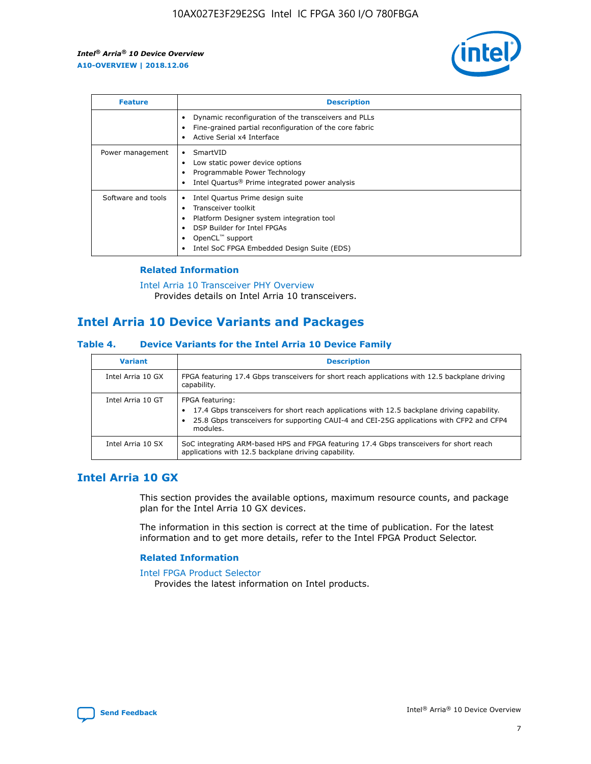

| <b>Feature</b>     | <b>Description</b>                                                                                                                                                                                               |
|--------------------|------------------------------------------------------------------------------------------------------------------------------------------------------------------------------------------------------------------|
|                    | Dynamic reconfiguration of the transceivers and PLLs<br>Fine-grained partial reconfiguration of the core fabric<br>Active Serial x4 Interface<br>$\bullet$                                                       |
| Power management   | SmartVID<br>Low static power device options<br>Programmable Power Technology<br>Intel Quartus <sup>®</sup> Prime integrated power analysis                                                                       |
| Software and tools | Intel Quartus Prime design suite<br>Transceiver toolkit<br>Platform Designer system integration tool<br>DSP Builder for Intel FPGAs<br>OpenCL <sup>™</sup> support<br>Intel SoC FPGA Embedded Design Suite (EDS) |

#### **Related Information**

[Intel Arria 10 Transceiver PHY Overview](https://www.intel.com/content/www/us/en/programmable/documentation/nik1398707230472.html#nik1398706768037) Provides details on Intel Arria 10 transceivers.

## **Intel Arria 10 Device Variants and Packages**

#### **Table 4. Device Variants for the Intel Arria 10 Device Family**

| <b>Variant</b>    | <b>Description</b>                                                                                                                                                                                                     |
|-------------------|------------------------------------------------------------------------------------------------------------------------------------------------------------------------------------------------------------------------|
| Intel Arria 10 GX | FPGA featuring 17.4 Gbps transceivers for short reach applications with 12.5 backplane driving<br>capability.                                                                                                          |
| Intel Arria 10 GT | FPGA featuring:<br>17.4 Gbps transceivers for short reach applications with 12.5 backplane driving capability.<br>25.8 Gbps transceivers for supporting CAUI-4 and CEI-25G applications with CFP2 and CFP4<br>modules. |
| Intel Arria 10 SX | SoC integrating ARM-based HPS and FPGA featuring 17.4 Gbps transceivers for short reach<br>applications with 12.5 backplane driving capability.                                                                        |

## **Intel Arria 10 GX**

This section provides the available options, maximum resource counts, and package plan for the Intel Arria 10 GX devices.

The information in this section is correct at the time of publication. For the latest information and to get more details, refer to the Intel FPGA Product Selector.

#### **Related Information**

#### [Intel FPGA Product Selector](http://www.altera.com/products/selector/psg-selector.html) Provides the latest information on Intel products.

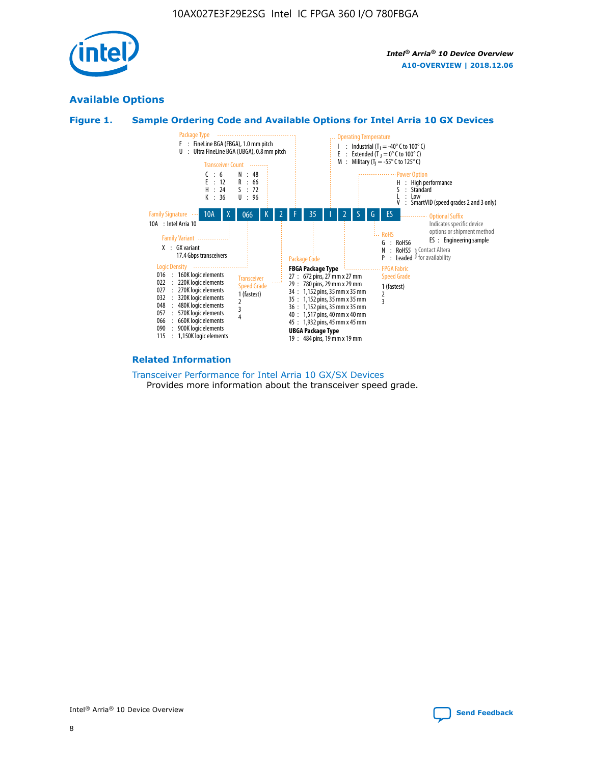

## **Available Options**





#### **Related Information**

[Transceiver Performance for Intel Arria 10 GX/SX Devices](https://www.intel.com/content/www/us/en/programmable/documentation/mcn1413182292568.html#mcn1413213965502) Provides more information about the transceiver speed grade.

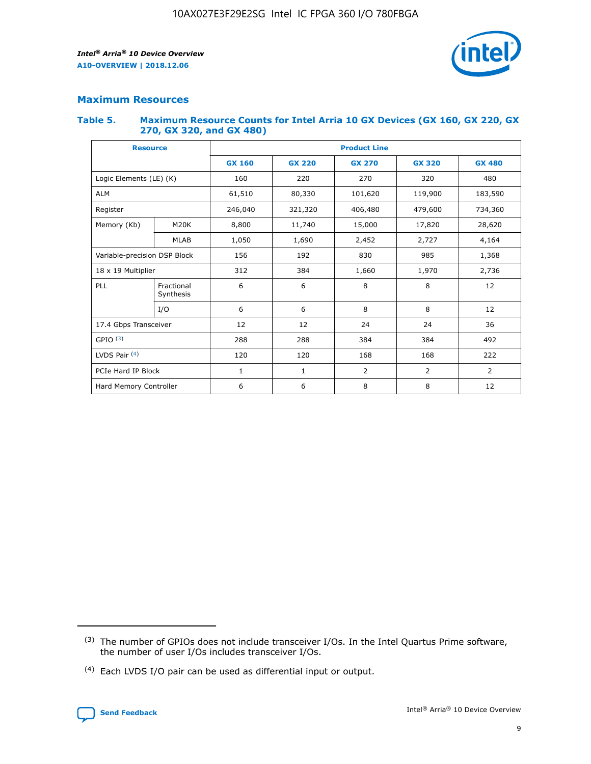

#### **Maximum Resources**

#### **Table 5. Maximum Resource Counts for Intel Arria 10 GX Devices (GX 160, GX 220, GX 270, GX 320, and GX 480)**

| <b>Resource</b>         |                                                          | <b>Product Line</b> |                    |                |                |               |  |  |  |
|-------------------------|----------------------------------------------------------|---------------------|--------------------|----------------|----------------|---------------|--|--|--|
|                         |                                                          | <b>GX 160</b>       | <b>GX 220</b>      | <b>GX 270</b>  | <b>GX 320</b>  | <b>GX 480</b> |  |  |  |
| Logic Elements (LE) (K) |                                                          | 160                 | 220                | 270            | 320            | 480           |  |  |  |
| <b>ALM</b>              |                                                          | 61,510              | 80,330             | 101,620        | 119,900        | 183,590       |  |  |  |
| Register                |                                                          | 246,040             | 321,320<br>406,480 |                | 479,600        | 734,360       |  |  |  |
| Memory (Kb)             | M <sub>20</sub> K                                        | 8,800               | 11,740             | 15,000         | 17,820         | 28,620        |  |  |  |
| <b>MLAB</b>             |                                                          | 1,050               | 1,690              | 2,452          | 2,727          | 4,164         |  |  |  |
|                         | Variable-precision DSP Block<br>192<br>830<br>985<br>156 |                     |                    |                |                | 1,368         |  |  |  |
|                         | 18 x 19 Multiplier                                       |                     | 384                | 1,970<br>1,660 |                | 2,736         |  |  |  |
| PLL                     | Fractional<br>Synthesis                                  | 6                   | 6                  | 8              | 8              | 12            |  |  |  |
|                         | I/O                                                      | 6                   | 6                  | 8              | 8              | 12            |  |  |  |
| 17.4 Gbps Transceiver   |                                                          | 12                  | 12                 | 24             | 24             | 36            |  |  |  |
| GPIO <sup>(3)</sup>     |                                                          | 288                 | 288<br>384         |                | 384            | 492           |  |  |  |
| LVDS Pair $(4)$         |                                                          | 120                 | 120                | 168            | 168            | 222           |  |  |  |
| PCIe Hard IP Block      |                                                          | 1                   | 1                  | $\overline{2}$ | $\overline{2}$ | 2             |  |  |  |
| Hard Memory Controller  |                                                          | 6                   | 6                  | 8              | 8              | 12            |  |  |  |

<sup>(4)</sup> Each LVDS I/O pair can be used as differential input or output.



<sup>(3)</sup> The number of GPIOs does not include transceiver I/Os. In the Intel Quartus Prime software, the number of user I/Os includes transceiver I/Os.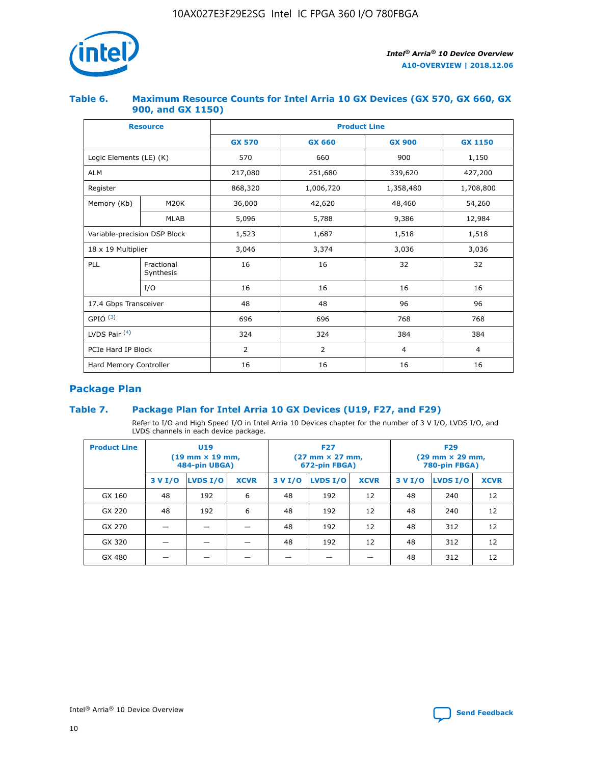![](_page_10_Picture_1.jpeg)

#### **Table 6. Maximum Resource Counts for Intel Arria 10 GX Devices (GX 570, GX 660, GX 900, and GX 1150)**

|                              | <b>Resource</b>         | <b>Product Line</b> |                |                |                |  |  |  |
|------------------------------|-------------------------|---------------------|----------------|----------------|----------------|--|--|--|
|                              |                         | <b>GX 570</b>       | <b>GX 660</b>  | <b>GX 900</b>  | <b>GX 1150</b> |  |  |  |
| Logic Elements (LE) (K)      |                         | 570                 | 660            | 900            | 1,150          |  |  |  |
| <b>ALM</b>                   |                         | 217,080             | 251,680        | 339,620        | 427,200        |  |  |  |
| Register                     |                         | 868,320             | 1,006,720      | 1,358,480      | 1,708,800      |  |  |  |
| Memory (Kb)                  | <b>M20K</b>             | 36,000              | 42,620         | 48,460         | 54,260         |  |  |  |
| <b>MLAB</b>                  |                         | 5,096               | 5,788          | 9,386          | 12,984         |  |  |  |
| Variable-precision DSP Block |                         | 1,523               | 1,687          | 1,518          | 1,518          |  |  |  |
| $18 \times 19$ Multiplier    |                         | 3,046               | 3,374          | 3,036          | 3,036          |  |  |  |
| PLL                          | Fractional<br>Synthesis | 16                  | 16             | 32             | 32             |  |  |  |
|                              | I/O                     | 16                  | 16             | 16             | 16             |  |  |  |
| 17.4 Gbps Transceiver        |                         | 48                  | 48             | 96             | 96             |  |  |  |
| GPIO <sup>(3)</sup>          |                         | 696                 | 696            | 768            | 768            |  |  |  |
| LVDS Pair $(4)$              |                         | 324                 | 324            | 384            | 384            |  |  |  |
| PCIe Hard IP Block           |                         | 2                   | $\overline{2}$ | $\overline{4}$ | 4              |  |  |  |
| Hard Memory Controller       |                         | 16                  | 16             | 16             | 16             |  |  |  |

## **Package Plan**

#### **Table 7. Package Plan for Intel Arria 10 GX Devices (U19, F27, and F29)**

Refer to I/O and High Speed I/O in Intel Arria 10 Devices chapter for the number of 3 V I/O, LVDS I/O, and LVDS channels in each device package.

| <b>Product Line</b> |         | U <sub>19</sub><br>$(19 \text{ mm} \times 19 \text{ mm})$<br>484-pin UBGA) |             | <b>F27</b><br>(27 mm × 27 mm,<br>672-pin FBGA) |          |             | <b>F29</b><br>(29 mm × 29 mm,<br>780-pin FBGA) |          |             |  |
|---------------------|---------|----------------------------------------------------------------------------|-------------|------------------------------------------------|----------|-------------|------------------------------------------------|----------|-------------|--|
|                     | 3 V I/O | LVDS I/O                                                                   | <b>XCVR</b> | 3 V I/O                                        | LVDS I/O | <b>XCVR</b> | 3 V I/O                                        | LVDS I/O | <b>XCVR</b> |  |
| GX 160              | 48      | 192                                                                        | 6           | 48                                             | 192      | 12          | 48                                             | 240      | 12          |  |
| GX 220              | 48      | 192                                                                        | 6           | 48                                             | 192      | 12          | 48                                             | 240      | 12          |  |
| GX 270              |         |                                                                            |             | 48                                             | 192      | 12          | 48                                             | 312      | 12          |  |
| GX 320              |         |                                                                            |             | 48                                             | 192      | 12          | 48                                             | 312      | 12          |  |
| GX 480              |         |                                                                            |             |                                                |          |             | 48                                             | 312      | 12          |  |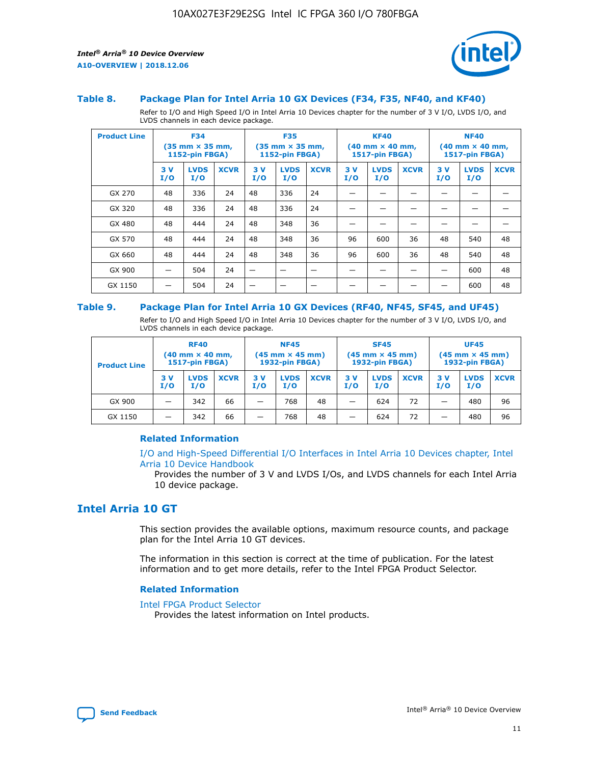![](_page_11_Picture_2.jpeg)

#### **Table 8. Package Plan for Intel Arria 10 GX Devices (F34, F35, NF40, and KF40)**

Refer to I/O and High Speed I/O in Intel Arria 10 Devices chapter for the number of 3 V I/O, LVDS I/O, and LVDS channels in each device package.

| <b>Product Line</b> |           | <b>F34</b><br>$(35 \text{ mm} \times 35 \text{ mm})$<br>1152-pin FBGA) |             | <b>F35</b><br>$(35 \text{ mm} \times 35 \text{ mm})$<br><b>1152-pin FBGA)</b> |                    |             | <b>KF40</b><br>$(40$ mm $\times$ 40 mm,<br>1517-pin FBGA) |                    | <b>NF40</b><br>$(40$ mm $\times$ 40 mm,<br><b>1517-pin FBGA)</b> |            |                    |             |
|---------------------|-----------|------------------------------------------------------------------------|-------------|-------------------------------------------------------------------------------|--------------------|-------------|-----------------------------------------------------------|--------------------|------------------------------------------------------------------|------------|--------------------|-------------|
|                     | 3V<br>I/O | <b>LVDS</b><br>I/O                                                     | <b>XCVR</b> | 3V<br>I/O                                                                     | <b>LVDS</b><br>I/O | <b>XCVR</b> | 3V<br>I/O                                                 | <b>LVDS</b><br>I/O | <b>XCVR</b>                                                      | 3 V<br>I/O | <b>LVDS</b><br>I/O | <b>XCVR</b> |
| GX 270              | 48        | 336                                                                    | 24          | 48                                                                            | 336                | 24          |                                                           |                    |                                                                  |            |                    |             |
| GX 320              | 48        | 336                                                                    | 24          | 48                                                                            | 336                | 24          |                                                           |                    |                                                                  |            |                    |             |
| GX 480              | 48        | 444                                                                    | 24          | 48                                                                            | 348                | 36          |                                                           |                    |                                                                  |            |                    |             |
| GX 570              | 48        | 444                                                                    | 24          | 48                                                                            | 348                | 36          | 96                                                        | 600                | 36                                                               | 48         | 540                | 48          |
| GX 660              | 48        | 444                                                                    | 24          | 48                                                                            | 348                | 36          | 96                                                        | 600                | 36                                                               | 48         | 540                | 48          |
| GX 900              |           | 504                                                                    | 24          | -                                                                             |                    |             |                                                           |                    |                                                                  |            | 600                | 48          |
| GX 1150             |           | 504                                                                    | 24          |                                                                               |                    |             |                                                           |                    |                                                                  |            | 600                | 48          |

#### **Table 9. Package Plan for Intel Arria 10 GX Devices (RF40, NF45, SF45, and UF45)**

Refer to I/O and High Speed I/O in Intel Arria 10 Devices chapter for the number of 3 V I/O, LVDS I/O, and LVDS channels in each device package.

| <b>Product Line</b> | <b>RF40</b><br>$(40$ mm $\times$ 40 mm,<br>1517-pin FBGA) |                    |             | <b>NF45</b><br>$(45 \text{ mm} \times 45 \text{ mm})$<br><b>1932-pin FBGA)</b> |                    |             | <b>SF45</b><br>$(45 \text{ mm} \times 45 \text{ mm})$<br><b>1932-pin FBGA)</b> |                    |             | <b>UF45</b><br>$(45 \text{ mm} \times 45 \text{ mm})$<br><b>1932-pin FBGA)</b> |                    |             |
|---------------------|-----------------------------------------------------------|--------------------|-------------|--------------------------------------------------------------------------------|--------------------|-------------|--------------------------------------------------------------------------------|--------------------|-------------|--------------------------------------------------------------------------------|--------------------|-------------|
|                     | 3V<br>I/O                                                 | <b>LVDS</b><br>I/O | <b>XCVR</b> | 3 V<br>I/O                                                                     | <b>LVDS</b><br>I/O | <b>XCVR</b> | 3 V<br>I/O                                                                     | <b>LVDS</b><br>I/O | <b>XCVR</b> | 3V<br>I/O                                                                      | <b>LVDS</b><br>I/O | <b>XCVR</b> |
| GX 900              |                                                           | 342                | 66          | _                                                                              | 768                | 48          |                                                                                | 624                | 72          |                                                                                | 480                | 96          |
| GX 1150             |                                                           | 342                | 66          | _                                                                              | 768                | 48          |                                                                                | 624                | 72          |                                                                                | 480                | 96          |

#### **Related Information**

[I/O and High-Speed Differential I/O Interfaces in Intel Arria 10 Devices chapter, Intel](https://www.intel.com/content/www/us/en/programmable/documentation/sam1403482614086.html#sam1403482030321) [Arria 10 Device Handbook](https://www.intel.com/content/www/us/en/programmable/documentation/sam1403482614086.html#sam1403482030321)

Provides the number of 3 V and LVDS I/Os, and LVDS channels for each Intel Arria 10 device package.

## **Intel Arria 10 GT**

This section provides the available options, maximum resource counts, and package plan for the Intel Arria 10 GT devices.

The information in this section is correct at the time of publication. For the latest information and to get more details, refer to the Intel FPGA Product Selector.

#### **Related Information**

#### [Intel FPGA Product Selector](http://www.altera.com/products/selector/psg-selector.html)

Provides the latest information on Intel products.

![](_page_11_Picture_18.jpeg)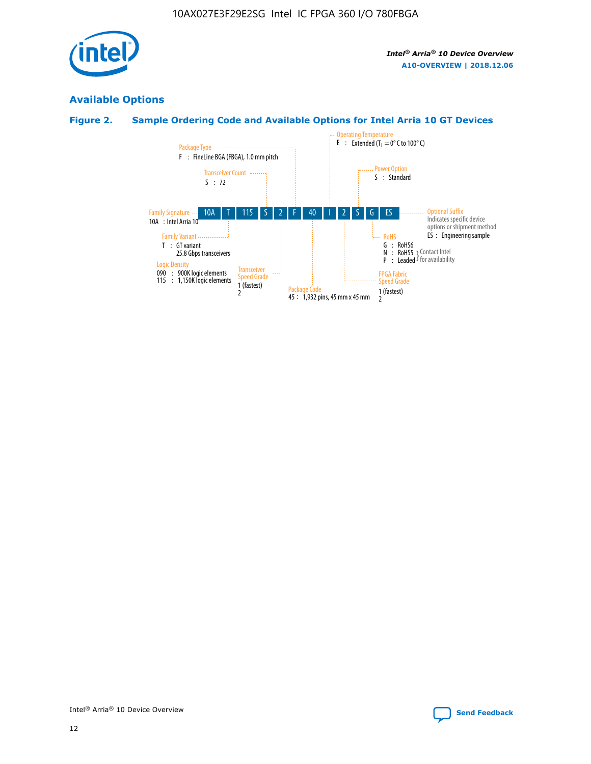![](_page_12_Picture_1.jpeg)

## **Available Options**

## **Figure 2. Sample Ordering Code and Available Options for Intel Arria 10 GT Devices**

![](_page_12_Figure_5.jpeg)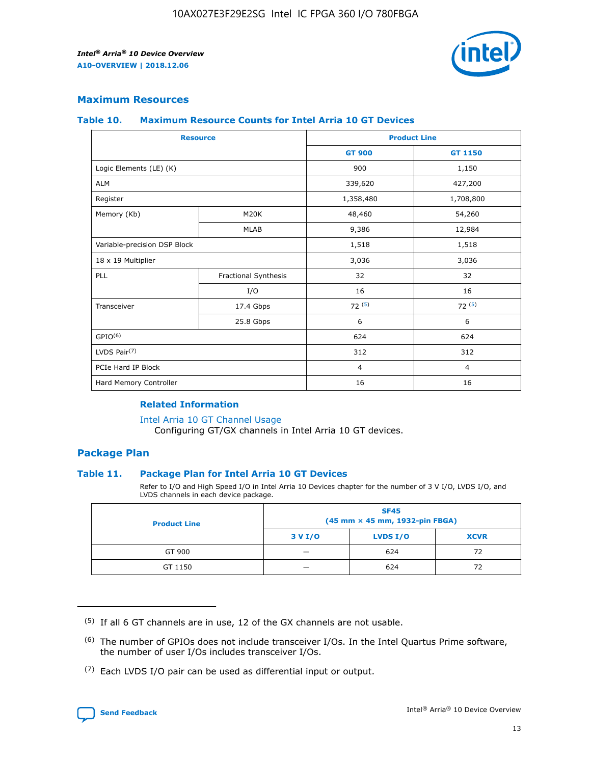![](_page_13_Picture_2.jpeg)

#### **Maximum Resources**

#### **Table 10. Maximum Resource Counts for Intel Arria 10 GT Devices**

| <b>Resource</b>              |                      | <b>Product Line</b> |                |  |
|------------------------------|----------------------|---------------------|----------------|--|
|                              |                      | <b>GT 900</b>       | GT 1150        |  |
| Logic Elements (LE) (K)      |                      | 900                 | 1,150          |  |
| <b>ALM</b>                   |                      | 339,620             | 427,200        |  |
| Register                     |                      | 1,358,480           | 1,708,800      |  |
| Memory (Kb)                  | M <sub>20</sub> K    | 48,460              | 54,260         |  |
|                              | <b>MLAB</b>          | 9,386               | 12,984         |  |
| Variable-precision DSP Block |                      | 1,518               | 1,518          |  |
| 18 x 19 Multiplier           |                      | 3,036               | 3,036          |  |
| PLL                          | Fractional Synthesis | 32                  | 32             |  |
|                              | I/O                  | 16                  | 16             |  |
| Transceiver                  | 17.4 Gbps            | 72(5)               | 72(5)          |  |
|                              | 25.8 Gbps            | 6                   | 6              |  |
| GPIO <sup>(6)</sup>          |                      | 624                 | 624            |  |
| LVDS Pair $(7)$              |                      | 312                 | 312            |  |
| PCIe Hard IP Block           |                      | $\overline{4}$      | $\overline{4}$ |  |
| Hard Memory Controller       |                      | 16                  | 16             |  |

#### **Related Information**

#### [Intel Arria 10 GT Channel Usage](https://www.intel.com/content/www/us/en/programmable/documentation/nik1398707230472.html#nik1398707008178)

Configuring GT/GX channels in Intel Arria 10 GT devices.

#### **Package Plan**

#### **Table 11. Package Plan for Intel Arria 10 GT Devices**

Refer to I/O and High Speed I/O in Intel Arria 10 Devices chapter for the number of 3 V I/O, LVDS I/O, and LVDS channels in each device package.

| <b>Product Line</b> | <b>SF45</b><br>(45 mm × 45 mm, 1932-pin FBGA) |                 |             |  |  |  |
|---------------------|-----------------------------------------------|-----------------|-------------|--|--|--|
|                     | 3 V I/O                                       | <b>LVDS I/O</b> | <b>XCVR</b> |  |  |  |
| GT 900              |                                               | 624             | 72          |  |  |  |
| GT 1150             |                                               | 624             | 72          |  |  |  |

<sup>(7)</sup> Each LVDS I/O pair can be used as differential input or output.

![](_page_13_Picture_16.jpeg)

 $(5)$  If all 6 GT channels are in use, 12 of the GX channels are not usable.

<sup>(6)</sup> The number of GPIOs does not include transceiver I/Os. In the Intel Quartus Prime software, the number of user I/Os includes transceiver I/Os.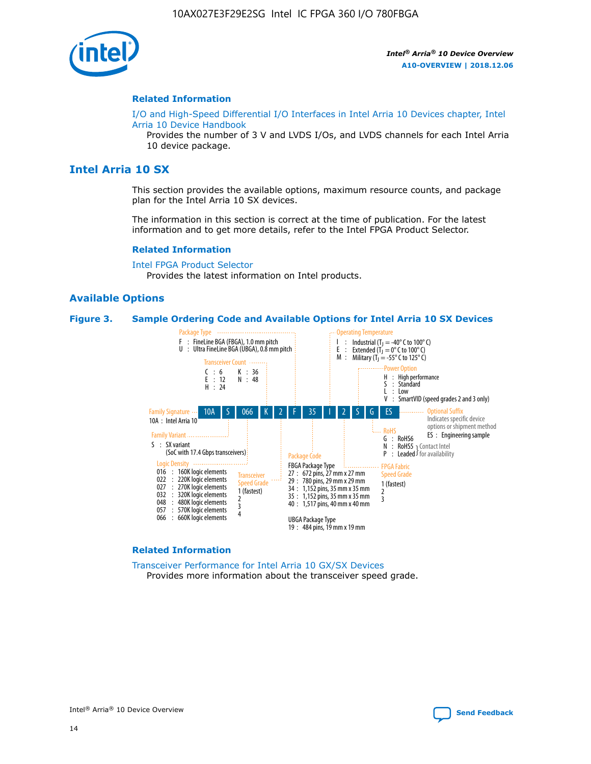![](_page_14_Picture_1.jpeg)

#### **Related Information**

[I/O and High-Speed Differential I/O Interfaces in Intel Arria 10 Devices chapter, Intel](https://www.intel.com/content/www/us/en/programmable/documentation/sam1403482614086.html#sam1403482030321) [Arria 10 Device Handbook](https://www.intel.com/content/www/us/en/programmable/documentation/sam1403482614086.html#sam1403482030321)

Provides the number of 3 V and LVDS I/Os, and LVDS channels for each Intel Arria 10 device package.

#### **Intel Arria 10 SX**

This section provides the available options, maximum resource counts, and package plan for the Intel Arria 10 SX devices.

The information in this section is correct at the time of publication. For the latest information and to get more details, refer to the Intel FPGA Product Selector.

#### **Related Information**

[Intel FPGA Product Selector](http://www.altera.com/products/selector/psg-selector.html) Provides the latest information on Intel products.

#### **Available Options**

#### **Figure 3. Sample Ordering Code and Available Options for Intel Arria 10 SX Devices**

![](_page_14_Figure_13.jpeg)

#### **Related Information**

[Transceiver Performance for Intel Arria 10 GX/SX Devices](https://www.intel.com/content/www/us/en/programmable/documentation/mcn1413182292568.html#mcn1413213965502) Provides more information about the transceiver speed grade.

Intel® Arria® 10 Device Overview **[Send Feedback](mailto:FPGAtechdocfeedback@intel.com?subject=Feedback%20on%20Intel%20Arria%2010%20Device%20Overview%20(A10-OVERVIEW%202018.12.06)&body=We%20appreciate%20your%20feedback.%20In%20your%20comments,%20also%20specify%20the%20page%20number%20or%20paragraph.%20Thank%20you.)**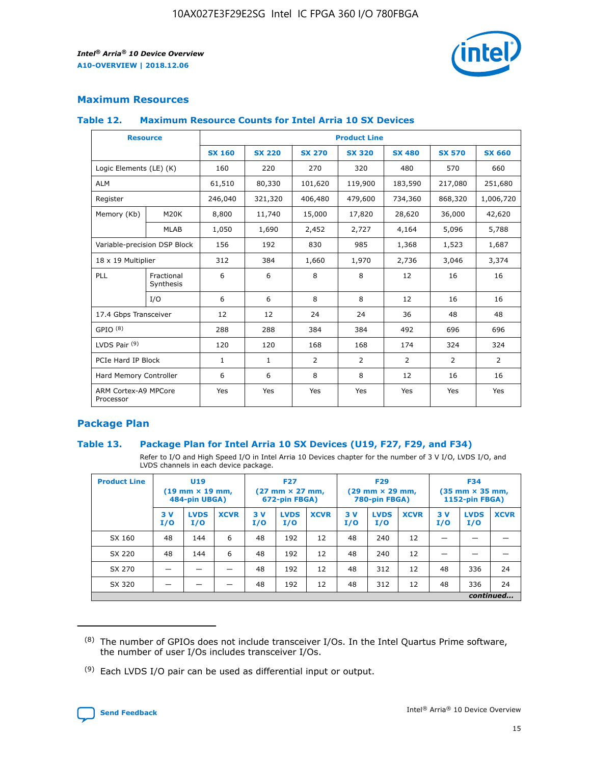![](_page_15_Picture_2.jpeg)

#### **Maximum Resources**

#### **Table 12. Maximum Resource Counts for Intel Arria 10 SX Devices**

|                                   | <b>Resource</b>         | <b>Product Line</b> |               |                |                |                |                |                |  |  |  |
|-----------------------------------|-------------------------|---------------------|---------------|----------------|----------------|----------------|----------------|----------------|--|--|--|
|                                   |                         | <b>SX 160</b>       | <b>SX 220</b> | <b>SX 270</b>  | <b>SX 320</b>  | <b>SX 480</b>  | <b>SX 570</b>  | <b>SX 660</b>  |  |  |  |
| Logic Elements (LE) (K)           |                         | 160                 | 220           | 270            | 320            | 480            | 570            | 660            |  |  |  |
| <b>ALM</b>                        |                         | 61,510              | 80,330        | 101,620        | 119,900        | 183,590        | 217,080        | 251,680        |  |  |  |
| Register                          |                         | 246,040             | 321,320       | 406,480        | 479,600        | 734,360        | 868,320        | 1,006,720      |  |  |  |
| Memory (Kb)                       | M <sub>20</sub> K       | 8,800               | 11,740        | 15,000         | 17,820         | 28,620         | 36,000         | 42,620         |  |  |  |
|                                   | <b>MLAB</b>             | 1,050               | 1,690         | 2,452          | 2,727          | 4,164          | 5,096          | 5,788          |  |  |  |
| Variable-precision DSP Block      |                         | 156                 | 192           | 830            | 985            | 1,368          | 1,523          | 1,687          |  |  |  |
| 18 x 19 Multiplier                |                         | 312                 | 384           | 1,660          | 1,970          | 2,736          | 3,046          | 3,374          |  |  |  |
| <b>PLL</b>                        | Fractional<br>Synthesis | 6                   | 6             | 8              | 8              | 12             | 16             | 16             |  |  |  |
|                                   | I/O                     | 6                   | 6             | 8              | 8              | 12             | 16             | 16             |  |  |  |
| 17.4 Gbps Transceiver             |                         | 12                  | 12            | 24             | 24             | 36             | 48             | 48             |  |  |  |
| GPIO <sup>(8)</sup>               |                         | 288                 | 288           | 384            | 384            | 492            | 696            | 696            |  |  |  |
| LVDS Pair $(9)$                   |                         | 120                 | 120           | 168            | 168            | 174            | 324            | 324            |  |  |  |
| PCIe Hard IP Block                |                         | $\mathbf{1}$        | $\mathbf{1}$  | $\overline{2}$ | $\overline{2}$ | $\overline{2}$ | $\overline{2}$ | $\overline{2}$ |  |  |  |
| Hard Memory Controller            |                         | 6                   | 6             | 8              | 8              | 12             | 16             | 16             |  |  |  |
| ARM Cortex-A9 MPCore<br>Processor |                         | Yes                 | Yes           | Yes            | Yes            | Yes            | Yes            | Yes            |  |  |  |

#### **Package Plan**

#### **Table 13. Package Plan for Intel Arria 10 SX Devices (U19, F27, F29, and F34)**

Refer to I/O and High Speed I/O in Intel Arria 10 Devices chapter for the number of 3 V I/O, LVDS I/O, and LVDS channels in each device package.

| <b>Product Line</b> | U19<br>$(19 \text{ mm} \times 19 \text{ mm})$<br>484-pin UBGA) |                    |             | <b>F27</b><br>$(27 \text{ mm} \times 27 \text{ mm})$ .<br>672-pin FBGA) |                    | <b>F29</b><br>$(29 \text{ mm} \times 29 \text{ mm})$ .<br>780-pin FBGA) |            |                    | <b>F34</b><br>$(35 \text{ mm} \times 35 \text{ mm})$<br><b>1152-pin FBGA)</b> |           |                    |             |
|---------------------|----------------------------------------------------------------|--------------------|-------------|-------------------------------------------------------------------------|--------------------|-------------------------------------------------------------------------|------------|--------------------|-------------------------------------------------------------------------------|-----------|--------------------|-------------|
|                     | 3V<br>I/O                                                      | <b>LVDS</b><br>I/O | <b>XCVR</b> | 3V<br>I/O                                                               | <b>LVDS</b><br>I/O | <b>XCVR</b>                                                             | 3 V<br>I/O | <b>LVDS</b><br>I/O | <b>XCVR</b>                                                                   | 3V<br>I/O | <b>LVDS</b><br>I/O | <b>XCVR</b> |
| SX 160              | 48                                                             | 144                | 6           | 48                                                                      | 192                | 12                                                                      | 48         | 240                | 12                                                                            |           |                    |             |
| SX 220              | 48                                                             | 144                | 6           | 48                                                                      | 192                | 12                                                                      | 48         | 240                | 12                                                                            |           |                    |             |
| SX 270              |                                                                |                    |             | 48                                                                      | 192                | 12                                                                      | 48         | 312                | 12                                                                            | 48        | 336                | 24          |
| SX 320              |                                                                |                    |             | 48                                                                      | 192                | 12                                                                      | 48         | 312                | 12                                                                            | 48        | 336                | 24          |
|                     | continued                                                      |                    |             |                                                                         |                    |                                                                         |            |                    |                                                                               |           |                    |             |

 $(8)$  The number of GPIOs does not include transceiver I/Os. In the Intel Quartus Prime software, the number of user I/Os includes transceiver I/Os.

 $(9)$  Each LVDS I/O pair can be used as differential input or output.

![](_page_15_Picture_12.jpeg)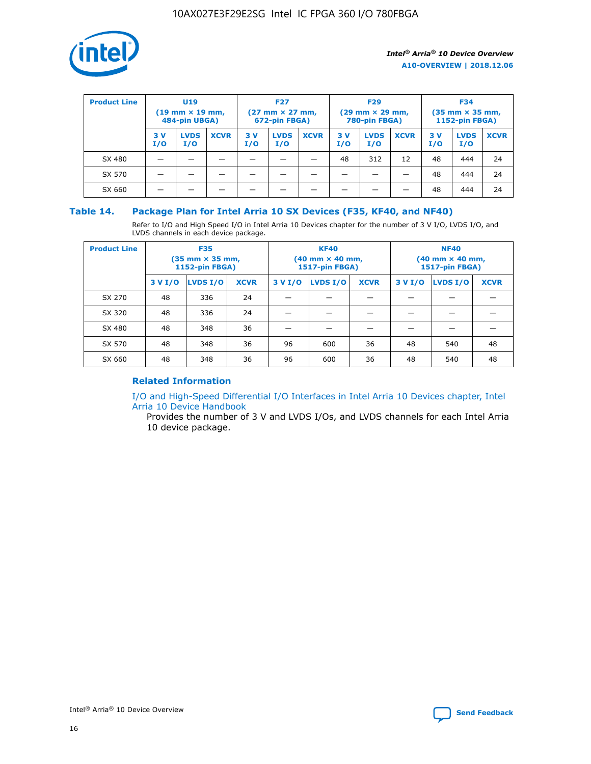![](_page_16_Picture_1.jpeg)

| <b>Product Line</b> | <b>U19</b><br>$(19 \text{ mm} \times 19 \text{ mm})$<br>484-pin UBGA) |                    | <b>F27</b><br>$(27 \text{ mm} \times 27 \text{ mm})$<br>672-pin FBGA) |           | <b>F29</b><br>$(29$ mm $\times$ 29 mm,<br>780-pin FBGA) |             |           | <b>F34</b><br>$(35$ mm $\times$ 35 mm,<br><b>1152-pin FBGA)</b> |             |           |                    |             |
|---------------------|-----------------------------------------------------------------------|--------------------|-----------------------------------------------------------------------|-----------|---------------------------------------------------------|-------------|-----------|-----------------------------------------------------------------|-------------|-----------|--------------------|-------------|
|                     | 3 V<br>I/O                                                            | <b>LVDS</b><br>I/O | <b>XCVR</b>                                                           | 3V<br>I/O | <b>LVDS</b><br>I/O                                      | <b>XCVR</b> | 3V<br>I/O | <b>LVDS</b><br>I/O                                              | <b>XCVR</b> | 3V<br>I/O | <b>LVDS</b><br>I/O | <b>XCVR</b> |
| SX 480              |                                                                       |                    |                                                                       |           |                                                         |             | 48        | 312                                                             | 12          | 48        | 444                | 24          |
| SX 570              |                                                                       |                    |                                                                       |           |                                                         |             |           |                                                                 |             | 48        | 444                | 24          |
| SX 660              |                                                                       |                    |                                                                       |           |                                                         |             |           |                                                                 |             | 48        | 444                | 24          |

#### **Table 14. Package Plan for Intel Arria 10 SX Devices (F35, KF40, and NF40)**

Refer to I/O and High Speed I/O in Intel Arria 10 Devices chapter for the number of 3 V I/O, LVDS I/O, and LVDS channels in each device package.

| <b>Product Line</b> | <b>F35</b><br>(35 mm × 35 mm,<br><b>1152-pin FBGA)</b> |          |             |                                           | <b>KF40</b><br>(40 mm × 40 mm,<br>1517-pin FBGA) |    | <b>NF40</b><br>$(40 \text{ mm} \times 40 \text{ mm})$<br>1517-pin FBGA) |          |             |  |
|---------------------|--------------------------------------------------------|----------|-------------|-------------------------------------------|--------------------------------------------------|----|-------------------------------------------------------------------------|----------|-------------|--|
|                     | 3 V I/O                                                | LVDS I/O | <b>XCVR</b> | <b>LVDS I/O</b><br>3 V I/O<br><b>XCVR</b> |                                                  |    | 3 V I/O                                                                 | LVDS I/O | <b>XCVR</b> |  |
| SX 270              | 48                                                     | 336      | 24          |                                           |                                                  |    |                                                                         |          |             |  |
| SX 320              | 48                                                     | 336      | 24          |                                           |                                                  |    |                                                                         |          |             |  |
| SX 480              | 48                                                     | 348      | 36          |                                           |                                                  |    |                                                                         |          |             |  |
| SX 570              | 48                                                     | 348      | 36          | 96                                        | 600                                              | 36 | 48                                                                      | 540      | 48          |  |
| SX 660              | 48                                                     | 348      | 36          | 96                                        | 600                                              | 36 | 48                                                                      | 540      | 48          |  |

#### **Related Information**

[I/O and High-Speed Differential I/O Interfaces in Intel Arria 10 Devices chapter, Intel](https://www.intel.com/content/www/us/en/programmable/documentation/sam1403482614086.html#sam1403482030321) [Arria 10 Device Handbook](https://www.intel.com/content/www/us/en/programmable/documentation/sam1403482614086.html#sam1403482030321)

Provides the number of 3 V and LVDS I/Os, and LVDS channels for each Intel Arria 10 device package.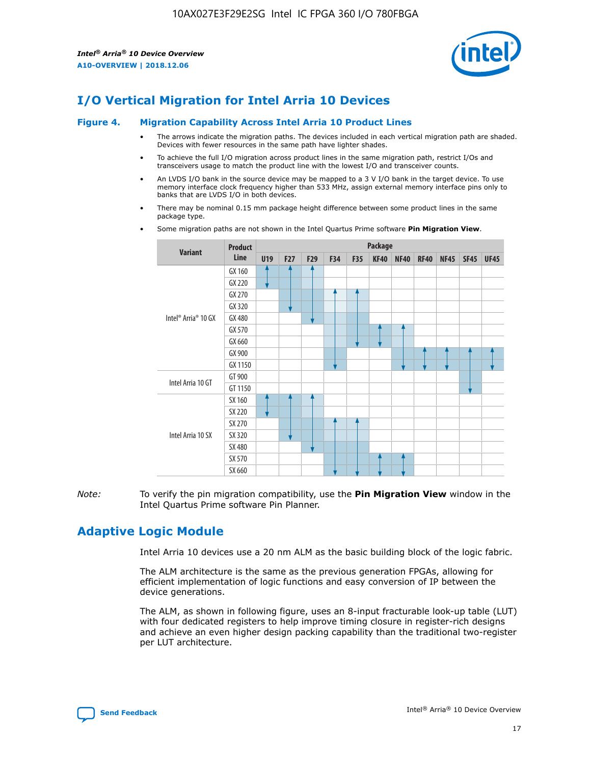![](_page_17_Picture_2.jpeg)

## **I/O Vertical Migration for Intel Arria 10 Devices**

#### **Figure 4. Migration Capability Across Intel Arria 10 Product Lines**

- The arrows indicate the migration paths. The devices included in each vertical migration path are shaded. Devices with fewer resources in the same path have lighter shades.
- To achieve the full I/O migration across product lines in the same migration path, restrict I/Os and transceivers usage to match the product line with the lowest I/O and transceiver counts.
- An LVDS I/O bank in the source device may be mapped to a 3 V I/O bank in the target device. To use memory interface clock frequency higher than 533 MHz, assign external memory interface pins only to banks that are LVDS I/O in both devices.
- There may be nominal 0.15 mm package height difference between some product lines in the same package type.
	- **Variant Product Line Package U19 F27 F29 F34 F35 KF40 NF40 RF40 NF45 SF45 UF45** Intel® Arria® 10 GX GX 160 GX 220 GX 270 GX 320 GX 480 GX 570 GX 660 GX 900 GX 1150 Intel Arria 10 GT GT 900 GT 1150 Intel Arria 10 SX SX 160 SX 220 SX 270 SX 320 SX 480 SX 570 SX 660
- Some migration paths are not shown in the Intel Quartus Prime software **Pin Migration View**.

*Note:* To verify the pin migration compatibility, use the **Pin Migration View** window in the Intel Quartus Prime software Pin Planner.

## **Adaptive Logic Module**

Intel Arria 10 devices use a 20 nm ALM as the basic building block of the logic fabric.

The ALM architecture is the same as the previous generation FPGAs, allowing for efficient implementation of logic functions and easy conversion of IP between the device generations.

The ALM, as shown in following figure, uses an 8-input fracturable look-up table (LUT) with four dedicated registers to help improve timing closure in register-rich designs and achieve an even higher design packing capability than the traditional two-register per LUT architecture.

![](_page_17_Picture_16.jpeg)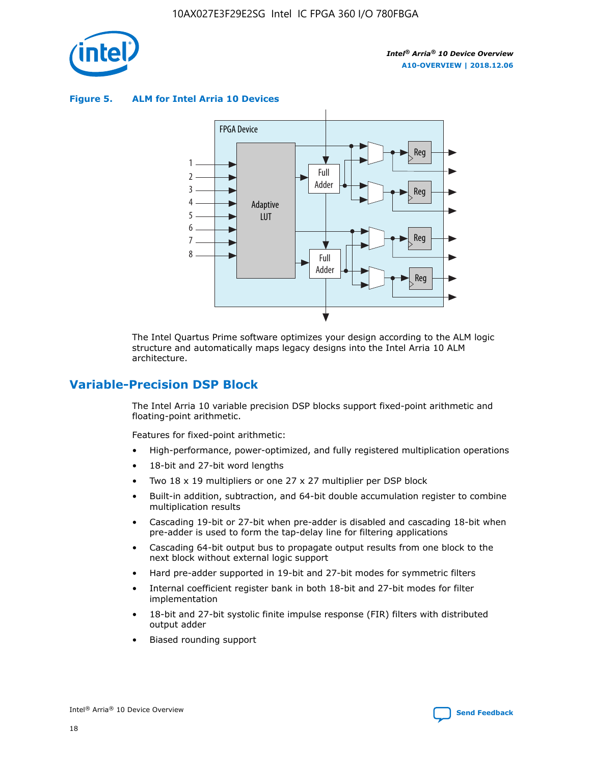![](_page_18_Picture_1.jpeg)

**Figure 5. ALM for Intel Arria 10 Devices**

![](_page_18_Figure_4.jpeg)

The Intel Quartus Prime software optimizes your design according to the ALM logic structure and automatically maps legacy designs into the Intel Arria 10 ALM architecture.

## **Variable-Precision DSP Block**

The Intel Arria 10 variable precision DSP blocks support fixed-point arithmetic and floating-point arithmetic.

Features for fixed-point arithmetic:

- High-performance, power-optimized, and fully registered multiplication operations
- 18-bit and 27-bit word lengths
- Two 18 x 19 multipliers or one 27 x 27 multiplier per DSP block
- Built-in addition, subtraction, and 64-bit double accumulation register to combine multiplication results
- Cascading 19-bit or 27-bit when pre-adder is disabled and cascading 18-bit when pre-adder is used to form the tap-delay line for filtering applications
- Cascading 64-bit output bus to propagate output results from one block to the next block without external logic support
- Hard pre-adder supported in 19-bit and 27-bit modes for symmetric filters
- Internal coefficient register bank in both 18-bit and 27-bit modes for filter implementation
- 18-bit and 27-bit systolic finite impulse response (FIR) filters with distributed output adder
- Biased rounding support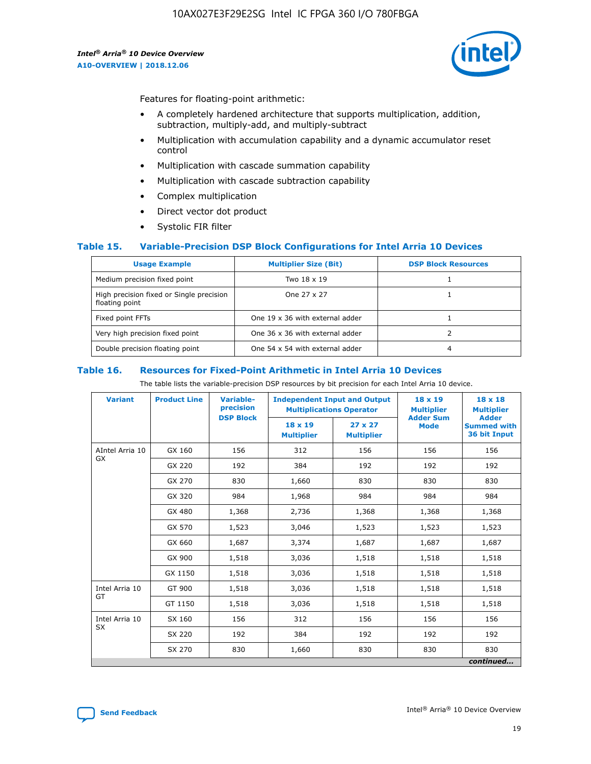![](_page_19_Picture_2.jpeg)

Features for floating-point arithmetic:

- A completely hardened architecture that supports multiplication, addition, subtraction, multiply-add, and multiply-subtract
- Multiplication with accumulation capability and a dynamic accumulator reset control
- Multiplication with cascade summation capability
- Multiplication with cascade subtraction capability
- Complex multiplication
- Direct vector dot product
- Systolic FIR filter

#### **Table 15. Variable-Precision DSP Block Configurations for Intel Arria 10 Devices**

| <b>Usage Example</b>                                       | <b>Multiplier Size (Bit)</b>    | <b>DSP Block Resources</b> |
|------------------------------------------------------------|---------------------------------|----------------------------|
| Medium precision fixed point                               | Two 18 x 19                     |                            |
| High precision fixed or Single precision<br>floating point | One 27 x 27                     |                            |
| Fixed point FFTs                                           | One 19 x 36 with external adder |                            |
| Very high precision fixed point                            | One 36 x 36 with external adder |                            |
| Double precision floating point                            | One 54 x 54 with external adder | 4                          |

#### **Table 16. Resources for Fixed-Point Arithmetic in Intel Arria 10 Devices**

The table lists the variable-precision DSP resources by bit precision for each Intel Arria 10 device.

| <b>Variant</b>  | <b>Product Line</b> | <b>Variable-</b><br>precision<br><b>DSP Block</b> | <b>Independent Input and Output</b><br><b>Multiplications Operator</b> |                                     | 18 x 19<br><b>Multiplier</b><br><b>Adder Sum</b> | $18 \times 18$<br><b>Multiplier</b><br><b>Adder</b> |
|-----------------|---------------------|---------------------------------------------------|------------------------------------------------------------------------|-------------------------------------|--------------------------------------------------|-----------------------------------------------------|
|                 |                     |                                                   | 18 x 19<br><b>Multiplier</b>                                           | $27 \times 27$<br><b>Multiplier</b> | <b>Mode</b>                                      | <b>Summed with</b><br>36 bit Input                  |
| AIntel Arria 10 | GX 160              | 156                                               | 312                                                                    | 156                                 | 156                                              | 156                                                 |
| GX              | GX 220              | 192                                               | 384                                                                    | 192                                 | 192                                              | 192                                                 |
|                 | GX 270              | 830                                               | 1,660                                                                  | 830                                 | 830                                              | 830                                                 |
|                 | GX 320              | 984                                               | 1,968                                                                  | 984                                 | 984                                              | 984                                                 |
|                 | GX 480              | 1,368                                             | 2,736                                                                  | 1,368                               | 1,368                                            | 1,368                                               |
|                 | GX 570              | 1,523                                             | 3,046                                                                  | 1,523                               | 1,523                                            | 1,523                                               |
|                 | GX 660              | 1,687                                             | 3,374                                                                  | 1,687                               | 1,687                                            | 1,687                                               |
|                 | GX 900              | 1,518                                             | 3,036                                                                  | 1,518                               | 1,518                                            | 1,518                                               |
|                 | GX 1150             | 1,518                                             | 3,036                                                                  | 1,518                               | 1,518                                            | 1,518                                               |
| Intel Arria 10  | GT 900              | 1,518                                             | 3,036                                                                  | 1,518                               | 1,518                                            | 1,518                                               |
| GT              | GT 1150             | 1,518                                             | 3,036                                                                  | 1,518                               | 1,518                                            | 1,518                                               |
| Intel Arria 10  | SX 160              | 156                                               | 312                                                                    | 156                                 | 156                                              | 156                                                 |
| <b>SX</b>       | SX 220              | 192                                               | 384                                                                    | 192                                 | 192                                              | 192                                                 |
|                 | SX 270              | 830                                               | 1,660                                                                  | 830                                 | 830                                              | 830                                                 |
|                 |                     |                                                   |                                                                        |                                     |                                                  | continued                                           |

![](_page_19_Picture_16.jpeg)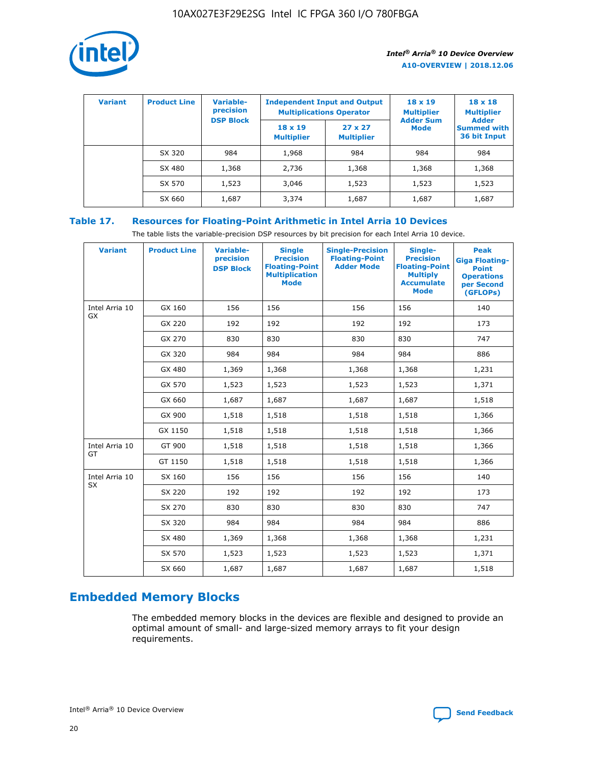![](_page_20_Picture_1.jpeg)

| <b>Variant</b> | <b>Product Line</b> | Variable-<br>precision | <b>Independent Input and Output</b><br><b>Multiplications Operator</b> |                                     | $18 \times 19$<br><b>Multiplier</b> | $18 \times 18$<br><b>Multiplier</b><br><b>Adder</b> |  |
|----------------|---------------------|------------------------|------------------------------------------------------------------------|-------------------------------------|-------------------------------------|-----------------------------------------------------|--|
|                |                     | <b>DSP Block</b>       | $18 \times 19$<br><b>Multiplier</b>                                    | $27 \times 27$<br><b>Multiplier</b> | <b>Adder Sum</b><br><b>Mode</b>     | <b>Summed with</b><br>36 bit Input                  |  |
|                | SX 320              | 984                    | 1,968                                                                  | 984                                 | 984                                 | 984                                                 |  |
|                | SX 480              | 1,368                  | 2,736                                                                  | 1,368                               | 1,368                               | 1,368                                               |  |
|                | SX 570              | 1,523                  | 3,046                                                                  | 1,523                               | 1,523                               | 1,523                                               |  |
|                | SX 660              | 1,687                  | 3,374                                                                  | 1,687                               | 1,687                               | 1,687                                               |  |

## **Table 17. Resources for Floating-Point Arithmetic in Intel Arria 10 Devices**

The table lists the variable-precision DSP resources by bit precision for each Intel Arria 10 device.

| <b>Variant</b> | <b>Product Line</b> | <b>Variable-</b><br>precision<br><b>DSP Block</b> | <b>Single</b><br><b>Precision</b><br><b>Floating-Point</b><br><b>Multiplication</b><br><b>Mode</b> | <b>Single-Precision</b><br><b>Floating-Point</b><br><b>Adder Mode</b> | Single-<br><b>Precision</b><br><b>Floating-Point</b><br><b>Multiply</b><br><b>Accumulate</b><br><b>Mode</b> | <b>Peak</b><br><b>Giga Floating-</b><br><b>Point</b><br><b>Operations</b><br>per Second<br>(GFLOPs) |
|----------------|---------------------|---------------------------------------------------|----------------------------------------------------------------------------------------------------|-----------------------------------------------------------------------|-------------------------------------------------------------------------------------------------------------|-----------------------------------------------------------------------------------------------------|
| Intel Arria 10 | GX 160              | 156                                               | 156                                                                                                | 156                                                                   | 156                                                                                                         | 140                                                                                                 |
| GX             | GX 220              | 192                                               | 192                                                                                                | 192                                                                   | 192                                                                                                         | 173                                                                                                 |
|                | GX 270              | 830                                               | 830                                                                                                | 830                                                                   | 830                                                                                                         | 747                                                                                                 |
|                | GX 320              | 984                                               | 984                                                                                                | 984                                                                   | 984                                                                                                         | 886                                                                                                 |
|                | GX 480              | 1,369                                             | 1,368                                                                                              | 1,368                                                                 | 1,368                                                                                                       | 1,231                                                                                               |
|                | GX 570              | 1,523                                             | 1,523                                                                                              | 1,523                                                                 | 1,523                                                                                                       | 1,371                                                                                               |
|                | GX 660              | 1,687                                             | 1,687                                                                                              | 1,687                                                                 | 1,687                                                                                                       | 1,518                                                                                               |
|                | GX 900              | 1,518                                             | 1,518                                                                                              | 1,518                                                                 | 1,518                                                                                                       | 1,366                                                                                               |
|                | GX 1150             | 1,518                                             | 1,518                                                                                              | 1,518                                                                 | 1,518                                                                                                       | 1,366                                                                                               |
| Intel Arria 10 | GT 900              | 1,518                                             | 1,518                                                                                              | 1,518                                                                 | 1,518                                                                                                       | 1,366                                                                                               |
| GT             | GT 1150             | 1,518                                             | 1,518                                                                                              | 1,518                                                                 | 1,518                                                                                                       | 1,366                                                                                               |
| Intel Arria 10 | SX 160              | 156                                               | 156                                                                                                | 156                                                                   | 156                                                                                                         | 140                                                                                                 |
| <b>SX</b>      | SX 220              | 192                                               | 192                                                                                                | 192                                                                   | 192                                                                                                         | 173                                                                                                 |
|                | SX 270              | 830                                               | 830                                                                                                | 830                                                                   | 830                                                                                                         | 747                                                                                                 |
|                | SX 320              | 984                                               | 984                                                                                                | 984                                                                   | 984                                                                                                         | 886                                                                                                 |
|                | SX 480              | 1,369                                             | 1,368                                                                                              | 1,368                                                                 | 1,368                                                                                                       | 1,231                                                                                               |
|                | SX 570              | 1,523                                             | 1,523                                                                                              | 1,523                                                                 | 1,523                                                                                                       | 1,371                                                                                               |
|                | SX 660              | 1,687                                             | 1,687                                                                                              | 1,687                                                                 | 1,687                                                                                                       | 1,518                                                                                               |

## **Embedded Memory Blocks**

The embedded memory blocks in the devices are flexible and designed to provide an optimal amount of small- and large-sized memory arrays to fit your design requirements.

![](_page_20_Picture_9.jpeg)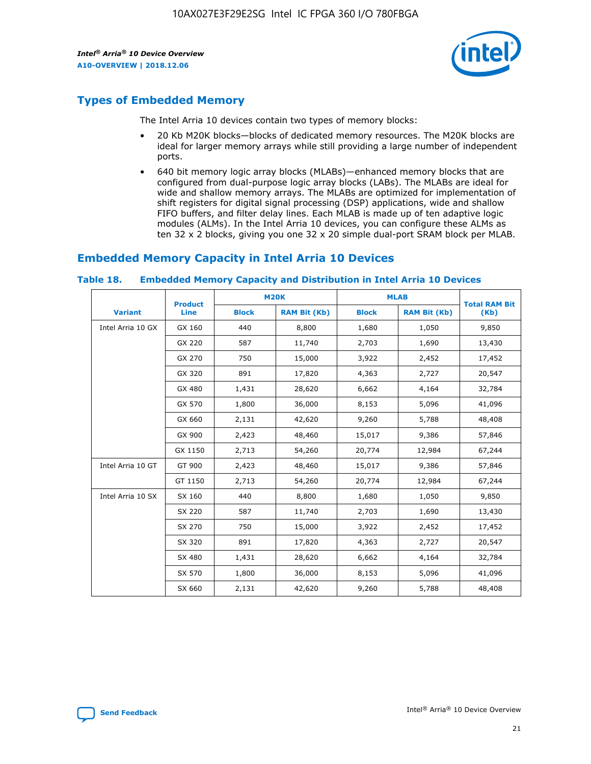![](_page_21_Picture_2.jpeg)

## **Types of Embedded Memory**

The Intel Arria 10 devices contain two types of memory blocks:

- 20 Kb M20K blocks—blocks of dedicated memory resources. The M20K blocks are ideal for larger memory arrays while still providing a large number of independent ports.
- 640 bit memory logic array blocks (MLABs)—enhanced memory blocks that are configured from dual-purpose logic array blocks (LABs). The MLABs are ideal for wide and shallow memory arrays. The MLABs are optimized for implementation of shift registers for digital signal processing (DSP) applications, wide and shallow FIFO buffers, and filter delay lines. Each MLAB is made up of ten adaptive logic modules (ALMs). In the Intel Arria 10 devices, you can configure these ALMs as ten 32 x 2 blocks, giving you one 32 x 20 simple dual-port SRAM block per MLAB.

## **Embedded Memory Capacity in Intel Arria 10 Devices**

|                   | <b>Product</b> |              | <b>M20K</b>         | <b>MLAB</b>  |                     | <b>Total RAM Bit</b> |
|-------------------|----------------|--------------|---------------------|--------------|---------------------|----------------------|
| <b>Variant</b>    | <b>Line</b>    | <b>Block</b> | <b>RAM Bit (Kb)</b> | <b>Block</b> | <b>RAM Bit (Kb)</b> | (Kb)                 |
| Intel Arria 10 GX | GX 160         | 440          | 8,800               | 1,680        | 1,050               | 9,850                |
|                   | GX 220         | 587          | 11,740              | 2,703        | 1,690               | 13,430               |
|                   | GX 270         | 750          | 15,000              | 3,922        | 2,452               | 17,452               |
|                   | GX 320         | 891          | 17,820              | 4,363        | 2,727               | 20,547               |
|                   | GX 480         | 1,431        | 28,620              | 6,662        | 4,164               | 32,784               |
|                   | GX 570         | 1,800        | 36,000              | 8,153        | 5,096               | 41,096               |
|                   | GX 660         | 2,131        | 42,620              | 9,260        | 5,788               | 48,408               |
|                   | GX 900         | 2,423        | 48,460              | 15,017       | 9,386               | 57,846               |
|                   | GX 1150        | 2,713        | 54,260              | 20,774       | 12,984              | 67,244               |
| Intel Arria 10 GT | GT 900         | 2,423        | 48,460              | 15,017       | 9,386               | 57,846               |
|                   | GT 1150        | 2,713        | 54,260              | 20,774       | 12,984              | 67,244               |
| Intel Arria 10 SX | SX 160         | 440          | 8,800               | 1,680        | 1,050               | 9,850                |
|                   | SX 220         | 587          | 11,740              | 2,703        | 1,690               | 13,430               |
|                   | SX 270         | 750          | 15,000              | 3,922        | 2,452               | 17,452               |
|                   | SX 320         | 891          | 17,820              | 4,363        | 2,727               | 20,547               |
|                   | SX 480         | 1,431        | 28,620              | 6,662        | 4,164               | 32,784               |
|                   | SX 570         | 1,800        | 36,000              | 8,153        | 5,096               | 41,096               |
|                   | SX 660         | 2,131        | 42,620              | 9,260        | 5,788               | 48,408               |

#### **Table 18. Embedded Memory Capacity and Distribution in Intel Arria 10 Devices**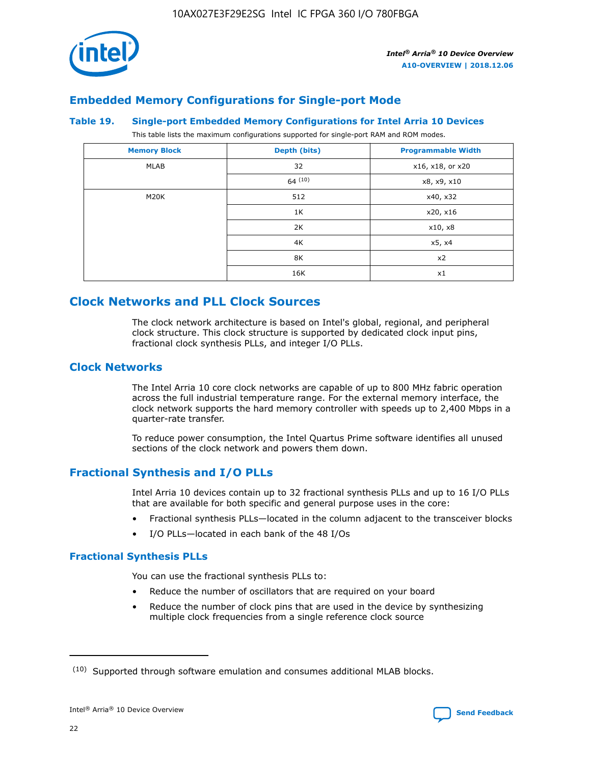![](_page_22_Picture_1.jpeg)

## **Embedded Memory Configurations for Single-port Mode**

#### **Table 19. Single-port Embedded Memory Configurations for Intel Arria 10 Devices**

This table lists the maximum configurations supported for single-port RAM and ROM modes.

| <b>Memory Block</b> | Depth (bits) | <b>Programmable Width</b> |
|---------------------|--------------|---------------------------|
| MLAB                | 32           | x16, x18, or x20          |
|                     | 64(10)       | x8, x9, x10               |
| M20K                | 512          | x40, x32                  |
|                     | 1K           | x20, x16                  |
|                     | 2K           | x10, x8                   |
|                     | 4K           | x5, x4                    |
|                     | 8K           | x2                        |
|                     | 16K          | x1                        |

## **Clock Networks and PLL Clock Sources**

The clock network architecture is based on Intel's global, regional, and peripheral clock structure. This clock structure is supported by dedicated clock input pins, fractional clock synthesis PLLs, and integer I/O PLLs.

#### **Clock Networks**

The Intel Arria 10 core clock networks are capable of up to 800 MHz fabric operation across the full industrial temperature range. For the external memory interface, the clock network supports the hard memory controller with speeds up to 2,400 Mbps in a quarter-rate transfer.

To reduce power consumption, the Intel Quartus Prime software identifies all unused sections of the clock network and powers them down.

## **Fractional Synthesis and I/O PLLs**

Intel Arria 10 devices contain up to 32 fractional synthesis PLLs and up to 16 I/O PLLs that are available for both specific and general purpose uses in the core:

- Fractional synthesis PLLs—located in the column adjacent to the transceiver blocks
- I/O PLLs—located in each bank of the 48 I/Os

#### **Fractional Synthesis PLLs**

You can use the fractional synthesis PLLs to:

- Reduce the number of oscillators that are required on your board
- Reduce the number of clock pins that are used in the device by synthesizing multiple clock frequencies from a single reference clock source

<sup>(10)</sup> Supported through software emulation and consumes additional MLAB blocks.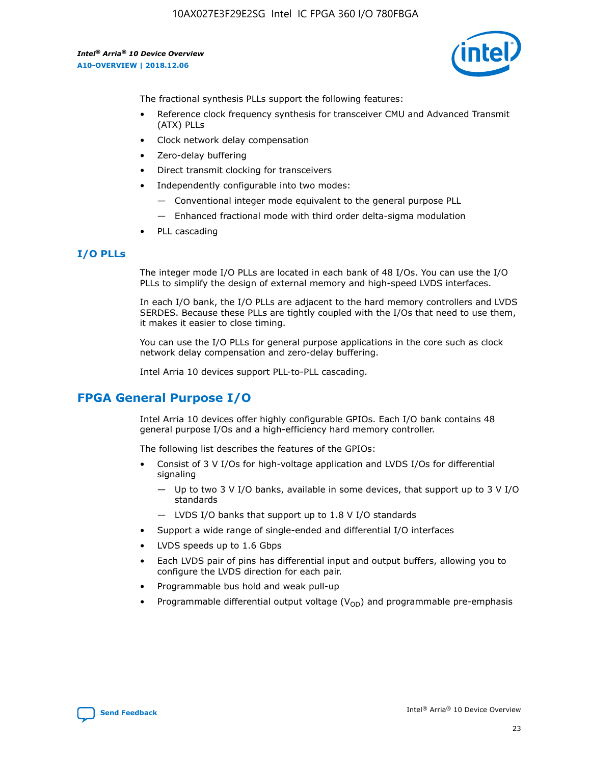![](_page_23_Picture_2.jpeg)

The fractional synthesis PLLs support the following features:

- Reference clock frequency synthesis for transceiver CMU and Advanced Transmit (ATX) PLLs
- Clock network delay compensation
- Zero-delay buffering
- Direct transmit clocking for transceivers
- Independently configurable into two modes:
	- Conventional integer mode equivalent to the general purpose PLL
	- Enhanced fractional mode with third order delta-sigma modulation
- PLL cascading

#### **I/O PLLs**

The integer mode I/O PLLs are located in each bank of 48 I/Os. You can use the I/O PLLs to simplify the design of external memory and high-speed LVDS interfaces.

In each I/O bank, the I/O PLLs are adjacent to the hard memory controllers and LVDS SERDES. Because these PLLs are tightly coupled with the I/Os that need to use them, it makes it easier to close timing.

You can use the I/O PLLs for general purpose applications in the core such as clock network delay compensation and zero-delay buffering.

Intel Arria 10 devices support PLL-to-PLL cascading.

## **FPGA General Purpose I/O**

Intel Arria 10 devices offer highly configurable GPIOs. Each I/O bank contains 48 general purpose I/Os and a high-efficiency hard memory controller.

The following list describes the features of the GPIOs:

- Consist of 3 V I/Os for high-voltage application and LVDS I/Os for differential signaling
	- Up to two 3 V I/O banks, available in some devices, that support up to 3 V I/O standards
	- LVDS I/O banks that support up to 1.8 V I/O standards
- Support a wide range of single-ended and differential I/O interfaces
- LVDS speeds up to 1.6 Gbps
- Each LVDS pair of pins has differential input and output buffers, allowing you to configure the LVDS direction for each pair.
- Programmable bus hold and weak pull-up
- Programmable differential output voltage  $(V_{OD})$  and programmable pre-emphasis

![](_page_23_Picture_28.jpeg)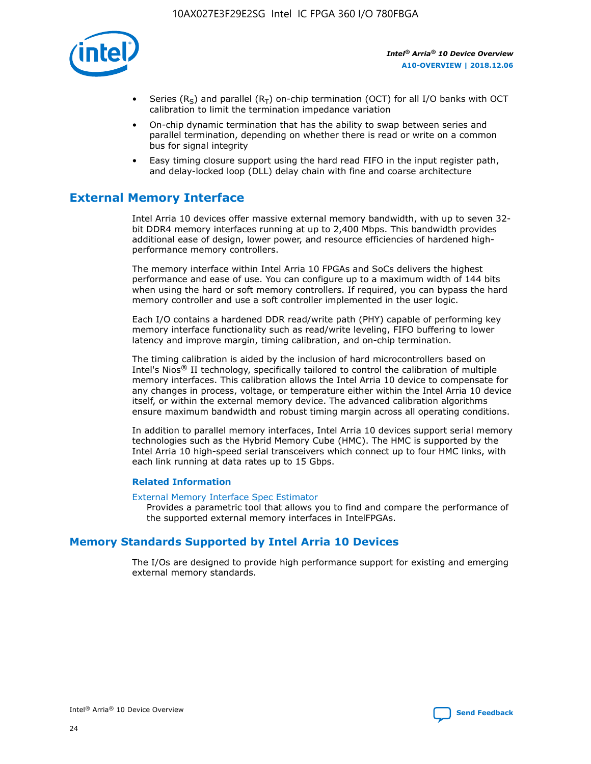![](_page_24_Picture_1.jpeg)

- Series (R<sub>S</sub>) and parallel (R<sub>T</sub>) on-chip termination (OCT) for all I/O banks with OCT calibration to limit the termination impedance variation
- On-chip dynamic termination that has the ability to swap between series and parallel termination, depending on whether there is read or write on a common bus for signal integrity
- Easy timing closure support using the hard read FIFO in the input register path, and delay-locked loop (DLL) delay chain with fine and coarse architecture

## **External Memory Interface**

Intel Arria 10 devices offer massive external memory bandwidth, with up to seven 32 bit DDR4 memory interfaces running at up to 2,400 Mbps. This bandwidth provides additional ease of design, lower power, and resource efficiencies of hardened highperformance memory controllers.

The memory interface within Intel Arria 10 FPGAs and SoCs delivers the highest performance and ease of use. You can configure up to a maximum width of 144 bits when using the hard or soft memory controllers. If required, you can bypass the hard memory controller and use a soft controller implemented in the user logic.

Each I/O contains a hardened DDR read/write path (PHY) capable of performing key memory interface functionality such as read/write leveling, FIFO buffering to lower latency and improve margin, timing calibration, and on-chip termination.

The timing calibration is aided by the inclusion of hard microcontrollers based on Intel's Nios® II technology, specifically tailored to control the calibration of multiple memory interfaces. This calibration allows the Intel Arria 10 device to compensate for any changes in process, voltage, or temperature either within the Intel Arria 10 device itself, or within the external memory device. The advanced calibration algorithms ensure maximum bandwidth and robust timing margin across all operating conditions.

In addition to parallel memory interfaces, Intel Arria 10 devices support serial memory technologies such as the Hybrid Memory Cube (HMC). The HMC is supported by the Intel Arria 10 high-speed serial transceivers which connect up to four HMC links, with each link running at data rates up to 15 Gbps.

#### **Related Information**

#### [External Memory Interface Spec Estimator](http://www.altera.com/technology/memory/estimator/mem-emif-index.html)

Provides a parametric tool that allows you to find and compare the performance of the supported external memory interfaces in IntelFPGAs.

## **Memory Standards Supported by Intel Arria 10 Devices**

The I/Os are designed to provide high performance support for existing and emerging external memory standards.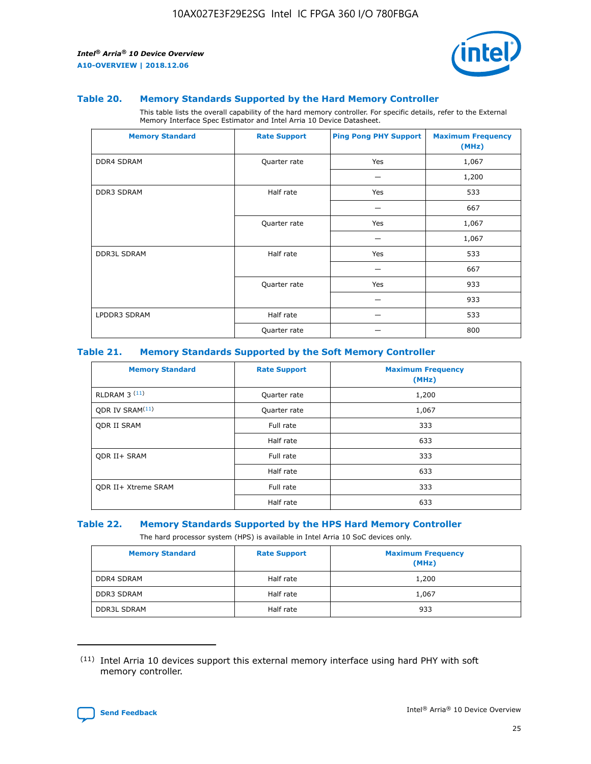![](_page_25_Picture_2.jpeg)

#### **Table 20. Memory Standards Supported by the Hard Memory Controller**

This table lists the overall capability of the hard memory controller. For specific details, refer to the External Memory Interface Spec Estimator and Intel Arria 10 Device Datasheet.

| <b>Memory Standard</b> | <b>Rate Support</b> | <b>Ping Pong PHY Support</b> | <b>Maximum Frequency</b><br>(MHz) |
|------------------------|---------------------|------------------------------|-----------------------------------|
| <b>DDR4 SDRAM</b>      | Quarter rate        | Yes                          | 1,067                             |
|                        |                     |                              | 1,200                             |
| DDR3 SDRAM             | Half rate           | Yes                          | 533                               |
|                        |                     |                              | 667                               |
|                        | Quarter rate        | Yes                          | 1,067                             |
|                        |                     |                              | 1,067                             |
| <b>DDR3L SDRAM</b>     | Half rate           | Yes                          | 533                               |
|                        |                     |                              | 667                               |
|                        | Quarter rate        | Yes                          | 933                               |
|                        |                     |                              | 933                               |
| LPDDR3 SDRAM           | Half rate           |                              | 533                               |
|                        | Quarter rate        |                              | 800                               |

#### **Table 21. Memory Standards Supported by the Soft Memory Controller**

| <b>Memory Standard</b>      | <b>Rate Support</b> | <b>Maximum Frequency</b><br>(MHz) |
|-----------------------------|---------------------|-----------------------------------|
| <b>RLDRAM 3 (11)</b>        | Quarter rate        | 1,200                             |
| ODR IV SRAM <sup>(11)</sup> | Quarter rate        | 1,067                             |
| <b>ODR II SRAM</b>          | Full rate           | 333                               |
|                             | Half rate           | 633                               |
| <b>ODR II+ SRAM</b>         | Full rate           | 333                               |
|                             | Half rate           | 633                               |
| <b>ODR II+ Xtreme SRAM</b>  | Full rate           | 333                               |
|                             | Half rate           | 633                               |

#### **Table 22. Memory Standards Supported by the HPS Hard Memory Controller**

The hard processor system (HPS) is available in Intel Arria 10 SoC devices only.

| <b>Memory Standard</b> | <b>Rate Support</b> | <b>Maximum Frequency</b><br>(MHz) |
|------------------------|---------------------|-----------------------------------|
| <b>DDR4 SDRAM</b>      | Half rate           | 1,200                             |
| <b>DDR3 SDRAM</b>      | Half rate           | 1,067                             |
| <b>DDR3L SDRAM</b>     | Half rate           | 933                               |

<sup>(11)</sup> Intel Arria 10 devices support this external memory interface using hard PHY with soft memory controller.

![](_page_25_Picture_12.jpeg)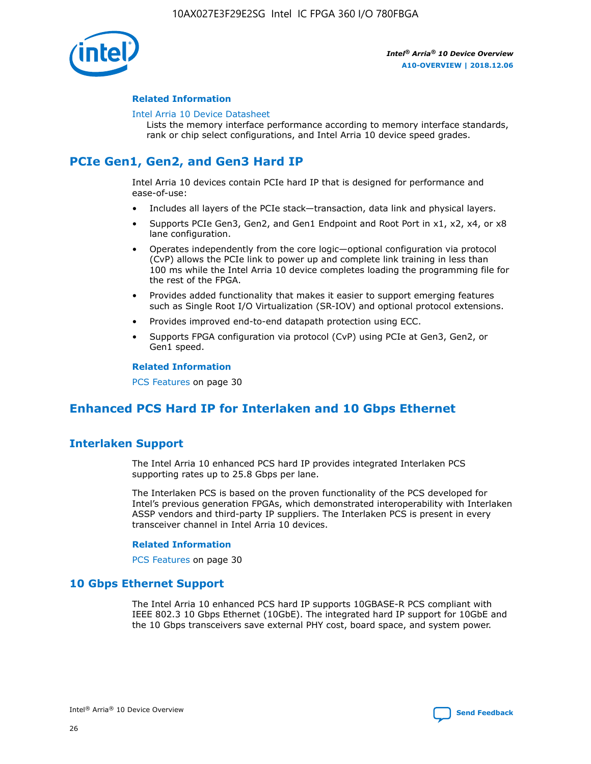![](_page_26_Picture_1.jpeg)

#### **Related Information**

#### [Intel Arria 10 Device Datasheet](https://www.intel.com/content/www/us/en/programmable/documentation/mcn1413182292568.html#mcn1413182153340)

Lists the memory interface performance according to memory interface standards, rank or chip select configurations, and Intel Arria 10 device speed grades.

## **PCIe Gen1, Gen2, and Gen3 Hard IP**

Intel Arria 10 devices contain PCIe hard IP that is designed for performance and ease-of-use:

- Includes all layers of the PCIe stack—transaction, data link and physical layers.
- Supports PCIe Gen3, Gen2, and Gen1 Endpoint and Root Port in x1, x2, x4, or x8 lane configuration.
- Operates independently from the core logic—optional configuration via protocol (CvP) allows the PCIe link to power up and complete link training in less than 100 ms while the Intel Arria 10 device completes loading the programming file for the rest of the FPGA.
- Provides added functionality that makes it easier to support emerging features such as Single Root I/O Virtualization (SR-IOV) and optional protocol extensions.
- Provides improved end-to-end datapath protection using ECC.
- Supports FPGA configuration via protocol (CvP) using PCIe at Gen3, Gen2, or Gen1 speed.

#### **Related Information**

PCS Features on page 30

## **Enhanced PCS Hard IP for Interlaken and 10 Gbps Ethernet**

## **Interlaken Support**

The Intel Arria 10 enhanced PCS hard IP provides integrated Interlaken PCS supporting rates up to 25.8 Gbps per lane.

The Interlaken PCS is based on the proven functionality of the PCS developed for Intel's previous generation FPGAs, which demonstrated interoperability with Interlaken ASSP vendors and third-party IP suppliers. The Interlaken PCS is present in every transceiver channel in Intel Arria 10 devices.

#### **Related Information**

PCS Features on page 30

#### **10 Gbps Ethernet Support**

The Intel Arria 10 enhanced PCS hard IP supports 10GBASE-R PCS compliant with IEEE 802.3 10 Gbps Ethernet (10GbE). The integrated hard IP support for 10GbE and the 10 Gbps transceivers save external PHY cost, board space, and system power.

![](_page_26_Picture_24.jpeg)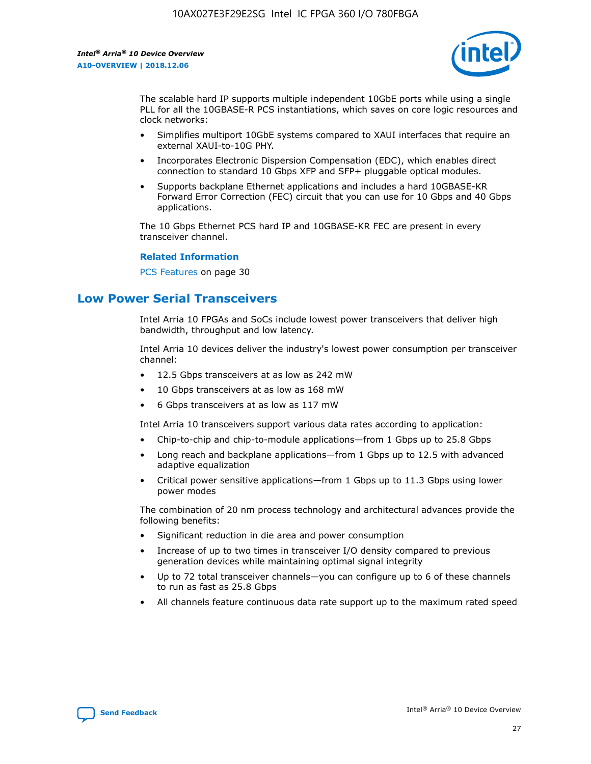![](_page_27_Picture_2.jpeg)

The scalable hard IP supports multiple independent 10GbE ports while using a single PLL for all the 10GBASE-R PCS instantiations, which saves on core logic resources and clock networks:

- Simplifies multiport 10GbE systems compared to XAUI interfaces that require an external XAUI-to-10G PHY.
- Incorporates Electronic Dispersion Compensation (EDC), which enables direct connection to standard 10 Gbps XFP and SFP+ pluggable optical modules.
- Supports backplane Ethernet applications and includes a hard 10GBASE-KR Forward Error Correction (FEC) circuit that you can use for 10 Gbps and 40 Gbps applications.

The 10 Gbps Ethernet PCS hard IP and 10GBASE-KR FEC are present in every transceiver channel.

#### **Related Information**

PCS Features on page 30

## **Low Power Serial Transceivers**

Intel Arria 10 FPGAs and SoCs include lowest power transceivers that deliver high bandwidth, throughput and low latency.

Intel Arria 10 devices deliver the industry's lowest power consumption per transceiver channel:

- 12.5 Gbps transceivers at as low as 242 mW
- 10 Gbps transceivers at as low as 168 mW
- 6 Gbps transceivers at as low as 117 mW

Intel Arria 10 transceivers support various data rates according to application:

- Chip-to-chip and chip-to-module applications—from 1 Gbps up to 25.8 Gbps
- Long reach and backplane applications—from 1 Gbps up to 12.5 with advanced adaptive equalization
- Critical power sensitive applications—from 1 Gbps up to 11.3 Gbps using lower power modes

The combination of 20 nm process technology and architectural advances provide the following benefits:

- Significant reduction in die area and power consumption
- Increase of up to two times in transceiver I/O density compared to previous generation devices while maintaining optimal signal integrity
- Up to 72 total transceiver channels—you can configure up to 6 of these channels to run as fast as 25.8 Gbps
- All channels feature continuous data rate support up to the maximum rated speed

![](_page_27_Picture_25.jpeg)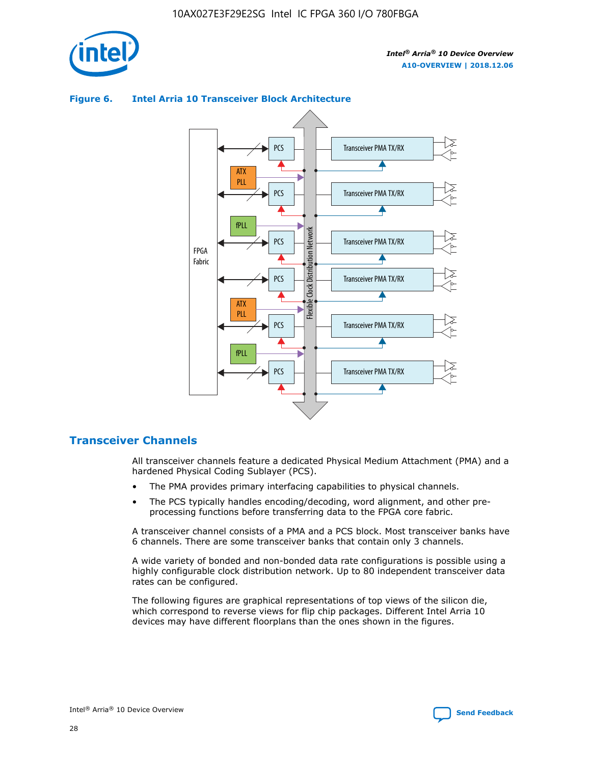![](_page_28_Picture_1.jpeg)

#### Transceiver PMA TX/RX PCS ATX PLL Transceiver PMA TX/RX PCS fPLL Network Flexible Clock Distribution Network PCS Transceiver PMA TX/RX FPGA **Clock Distribution** Fabric PCS Transceiver PMA TX/RX ATX Flexible PLL PCS Transceiver PMA TX/RX ▲ fPLL Transceiver PMA TX/RX PCS 4

#### **Figure 6. Intel Arria 10 Transceiver Block Architecture**

#### **Transceiver Channels**

All transceiver channels feature a dedicated Physical Medium Attachment (PMA) and a hardened Physical Coding Sublayer (PCS).

- The PMA provides primary interfacing capabilities to physical channels.
- The PCS typically handles encoding/decoding, word alignment, and other preprocessing functions before transferring data to the FPGA core fabric.

A transceiver channel consists of a PMA and a PCS block. Most transceiver banks have 6 channels. There are some transceiver banks that contain only 3 channels.

A wide variety of bonded and non-bonded data rate configurations is possible using a highly configurable clock distribution network. Up to 80 independent transceiver data rates can be configured.

The following figures are graphical representations of top views of the silicon die, which correspond to reverse views for flip chip packages. Different Intel Arria 10 devices may have different floorplans than the ones shown in the figures.

![](_page_28_Picture_12.jpeg)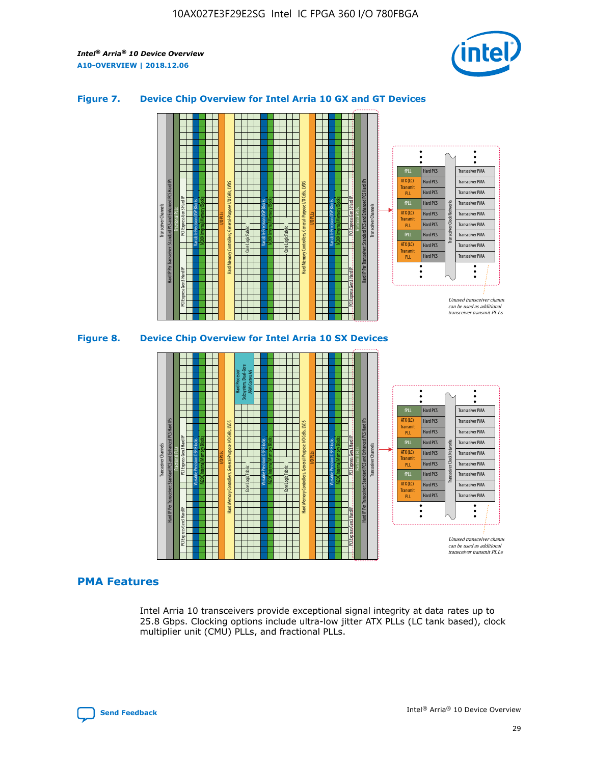![](_page_29_Picture_2.jpeg)

#### **Figure 7. Device Chip Overview for Intel Arria 10 GX and GT Devices**

![](_page_29_Figure_4.jpeg)

#### **PMA Features**

Intel Arria 10 transceivers provide exceptional signal integrity at data rates up to 25.8 Gbps. Clocking options include ultra-low jitter ATX PLLs (LC tank based), clock multiplier unit (CMU) PLLs, and fractional PLLs.

![](_page_29_Picture_7.jpeg)

Hard PCS Hard PCS Hard PCS Hard PCS Hard PCS

ATX (LC) Transmi PLL fPLL ATX (LC) **Transmit** PLL

Transceiver PMA Transceiver PMA Transceiver PMA

Transceiver PMA Transceiver PMA

Unused transceiver chann can be used as additional transceiver transmit PLLs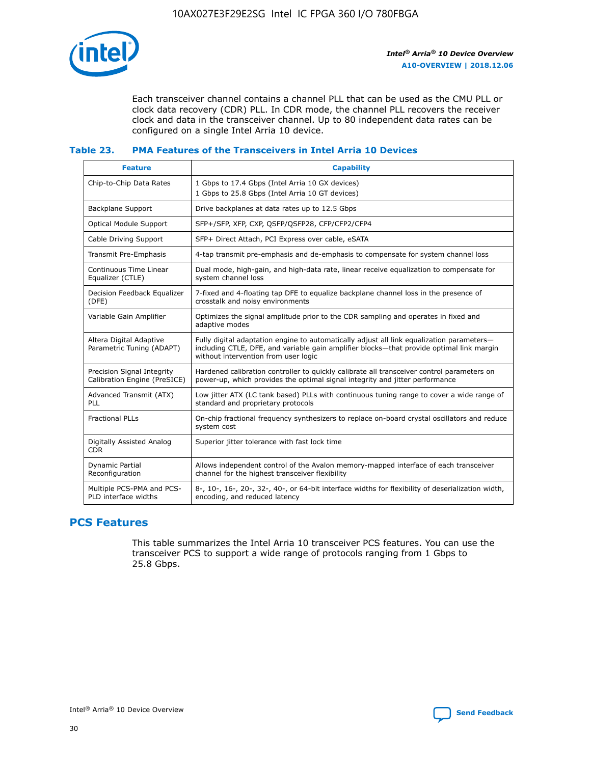![](_page_30_Picture_1.jpeg)

Each transceiver channel contains a channel PLL that can be used as the CMU PLL or clock data recovery (CDR) PLL. In CDR mode, the channel PLL recovers the receiver clock and data in the transceiver channel. Up to 80 independent data rates can be configured on a single Intel Arria 10 device.

#### **Table 23. PMA Features of the Transceivers in Intel Arria 10 Devices**

| <b>Feature</b>                                             | <b>Capability</b>                                                                                                                                                                                                             |
|------------------------------------------------------------|-------------------------------------------------------------------------------------------------------------------------------------------------------------------------------------------------------------------------------|
| Chip-to-Chip Data Rates                                    | 1 Gbps to 17.4 Gbps (Intel Arria 10 GX devices)<br>1 Gbps to 25.8 Gbps (Intel Arria 10 GT devices)                                                                                                                            |
| Backplane Support                                          | Drive backplanes at data rates up to 12.5 Gbps                                                                                                                                                                                |
| <b>Optical Module Support</b>                              | SFP+/SFP, XFP, CXP, QSFP/QSFP28, CFP/CFP2/CFP4                                                                                                                                                                                |
| Cable Driving Support                                      | SFP+ Direct Attach, PCI Express over cable, eSATA                                                                                                                                                                             |
| Transmit Pre-Emphasis                                      | 4-tap transmit pre-emphasis and de-emphasis to compensate for system channel loss                                                                                                                                             |
| Continuous Time Linear<br>Equalizer (CTLE)                 | Dual mode, high-gain, and high-data rate, linear receive equalization to compensate for<br>system channel loss                                                                                                                |
| Decision Feedback Equalizer<br>(DFE)                       | 7-fixed and 4-floating tap DFE to equalize backplane channel loss in the presence of<br>crosstalk and noisy environments                                                                                                      |
| Variable Gain Amplifier                                    | Optimizes the signal amplitude prior to the CDR sampling and operates in fixed and<br>adaptive modes                                                                                                                          |
| Altera Digital Adaptive<br>Parametric Tuning (ADAPT)       | Fully digital adaptation engine to automatically adjust all link equalization parameters-<br>including CTLE, DFE, and variable gain amplifier blocks—that provide optimal link margin<br>without intervention from user logic |
| Precision Signal Integrity<br>Calibration Engine (PreSICE) | Hardened calibration controller to quickly calibrate all transceiver control parameters on<br>power-up, which provides the optimal signal integrity and jitter performance                                                    |
| Advanced Transmit (ATX)<br><b>PLL</b>                      | Low jitter ATX (LC tank based) PLLs with continuous tuning range to cover a wide range of<br>standard and proprietary protocols                                                                                               |
| <b>Fractional PLLs</b>                                     | On-chip fractional frequency synthesizers to replace on-board crystal oscillators and reduce<br>system cost                                                                                                                   |
| Digitally Assisted Analog<br><b>CDR</b>                    | Superior jitter tolerance with fast lock time                                                                                                                                                                                 |
| Dynamic Partial<br>Reconfiguration                         | Allows independent control of the Avalon memory-mapped interface of each transceiver<br>channel for the highest transceiver flexibility                                                                                       |
| Multiple PCS-PMA and PCS-<br>PLD interface widths          | 8-, 10-, 16-, 20-, 32-, 40-, or 64-bit interface widths for flexibility of deserialization width,<br>encoding, and reduced latency                                                                                            |

## **PCS Features**

This table summarizes the Intel Arria 10 transceiver PCS features. You can use the transceiver PCS to support a wide range of protocols ranging from 1 Gbps to 25.8 Gbps.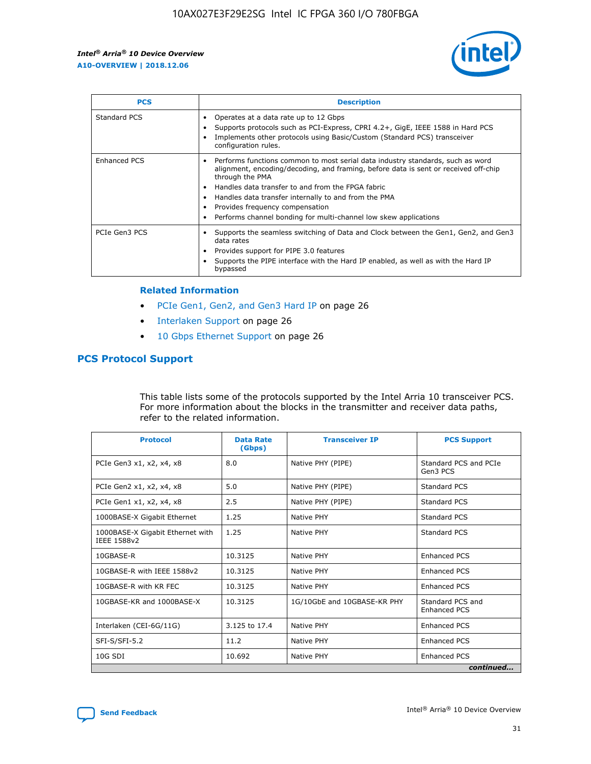![](_page_31_Picture_2.jpeg)

| <b>PCS</b>    | <b>Description</b>                                                                                                                                                                                                                                                                                                                                                                                                          |
|---------------|-----------------------------------------------------------------------------------------------------------------------------------------------------------------------------------------------------------------------------------------------------------------------------------------------------------------------------------------------------------------------------------------------------------------------------|
| Standard PCS  | Operates at a data rate up to 12 Gbps<br>Supports protocols such as PCI-Express, CPRI 4.2+, GigE, IEEE 1588 in Hard PCS<br>Implements other protocols using Basic/Custom (Standard PCS) transceiver<br>configuration rules.                                                                                                                                                                                                 |
| Enhanced PCS  | Performs functions common to most serial data industry standards, such as word<br>$\bullet$<br>alignment, encoding/decoding, and framing, before data is sent or received off-chip<br>through the PMA<br>• Handles data transfer to and from the FPGA fabric<br>Handles data transfer internally to and from the PMA<br>Provides frequency compensation<br>Performs channel bonding for multi-channel low skew applications |
| PCIe Gen3 PCS | Supports the seamless switching of Data and Clock between the Gen1, Gen2, and Gen3<br>data rates<br>Provides support for PIPE 3.0 features<br>Supports the PIPE interface with the Hard IP enabled, as well as with the Hard IP<br>bypassed                                                                                                                                                                                 |

#### **Related Information**

- PCIe Gen1, Gen2, and Gen3 Hard IP on page 26
- Interlaken Support on page 26
- 10 Gbps Ethernet Support on page 26

#### **PCS Protocol Support**

This table lists some of the protocols supported by the Intel Arria 10 transceiver PCS. For more information about the blocks in the transmitter and receiver data paths, refer to the related information.

| <b>Protocol</b>                                 | <b>Data Rate</b><br>(Gbps) | <b>Transceiver IP</b>       | <b>PCS Support</b>                      |
|-------------------------------------------------|----------------------------|-----------------------------|-----------------------------------------|
| PCIe Gen3 x1, x2, x4, x8                        | 8.0                        | Native PHY (PIPE)           | Standard PCS and PCIe<br>Gen3 PCS       |
| PCIe Gen2 x1, x2, x4, x8                        | 5.0                        | Native PHY (PIPE)           | <b>Standard PCS</b>                     |
| PCIe Gen1 x1, x2, x4, x8                        | 2.5                        | Native PHY (PIPE)           | Standard PCS                            |
| 1000BASE-X Gigabit Ethernet                     | 1.25                       | Native PHY                  | <b>Standard PCS</b>                     |
| 1000BASE-X Gigabit Ethernet with<br>IEEE 1588v2 | 1.25                       | Native PHY                  | Standard PCS                            |
| 10GBASE-R                                       | 10.3125                    | Native PHY                  | <b>Enhanced PCS</b>                     |
| 10GBASE-R with IEEE 1588v2                      | 10.3125                    | Native PHY                  | <b>Enhanced PCS</b>                     |
| 10GBASE-R with KR FEC                           | 10.3125                    | Native PHY                  | <b>Enhanced PCS</b>                     |
| 10GBASE-KR and 1000BASE-X                       | 10.3125                    | 1G/10GbE and 10GBASE-KR PHY | Standard PCS and<br><b>Enhanced PCS</b> |
| Interlaken (CEI-6G/11G)                         | 3.125 to 17.4              | Native PHY                  | <b>Enhanced PCS</b>                     |
| SFI-S/SFI-5.2                                   | 11.2                       | Native PHY                  | <b>Enhanced PCS</b>                     |
| 10G SDI                                         | 10.692                     | Native PHY                  | <b>Enhanced PCS</b>                     |
|                                                 |                            |                             | continued                               |

![](_page_31_Picture_11.jpeg)

**[Send Feedback](mailto:FPGAtechdocfeedback@intel.com?subject=Feedback%20on%20Intel%20Arria%2010%20Device%20Overview%20(A10-OVERVIEW%202018.12.06)&body=We%20appreciate%20your%20feedback.%20In%20your%20comments,%20also%20specify%20the%20page%20number%20or%20paragraph.%20Thank%20you.) Intel®** Arria<sup>®</sup> 10 Device Overview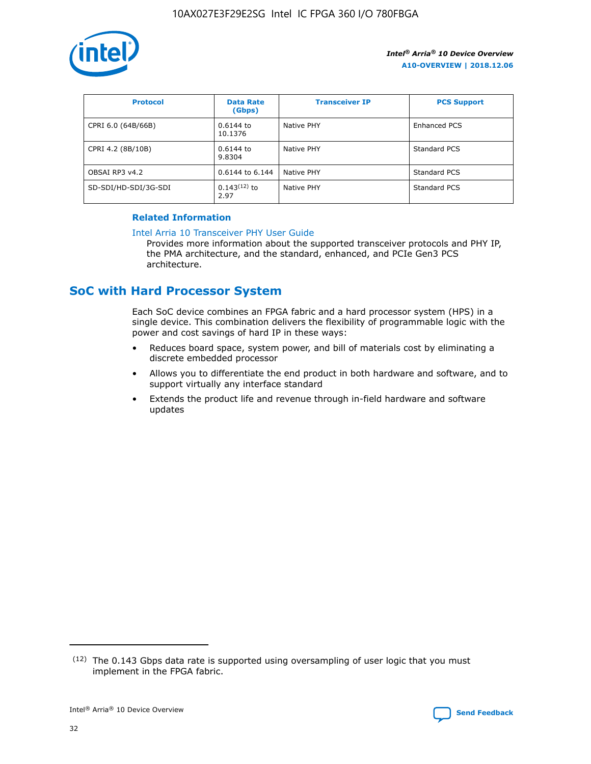![](_page_32_Picture_1.jpeg)

| <b>Protocol</b>      | <b>Data Rate</b><br>(Gbps) | <b>Transceiver IP</b> | <b>PCS Support</b> |
|----------------------|----------------------------|-----------------------|--------------------|
| CPRI 6.0 (64B/66B)   | 0.6144 to<br>10.1376       | Native PHY            | Enhanced PCS       |
| CPRI 4.2 (8B/10B)    | 0.6144 to<br>9.8304        | <b>Native PHY</b>     | Standard PCS       |
| OBSAI RP3 v4.2       | 0.6144 to 6.144            | Native PHY            | Standard PCS       |
| SD-SDI/HD-SDI/3G-SDI | $0.143(12)$ to<br>2.97     | Native PHY            | Standard PCS       |

#### **Related Information**

#### [Intel Arria 10 Transceiver PHY User Guide](https://www.intel.com/content/www/us/en/programmable/documentation/nik1398707230472.html#nik1398707091164)

Provides more information about the supported transceiver protocols and PHY IP, the PMA architecture, and the standard, enhanced, and PCIe Gen3 PCS architecture.

## **SoC with Hard Processor System**

Each SoC device combines an FPGA fabric and a hard processor system (HPS) in a single device. This combination delivers the flexibility of programmable logic with the power and cost savings of hard IP in these ways:

- Reduces board space, system power, and bill of materials cost by eliminating a discrete embedded processor
- Allows you to differentiate the end product in both hardware and software, and to support virtually any interface standard
- Extends the product life and revenue through in-field hardware and software updates

 $(12)$  The 0.143 Gbps data rate is supported using oversampling of user logic that you must implement in the FPGA fabric.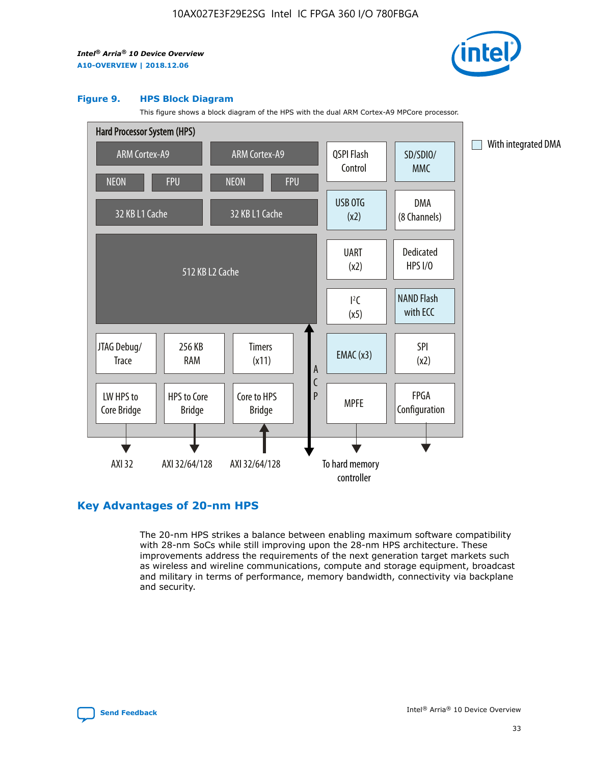![](_page_33_Picture_2.jpeg)

#### **Figure 9. HPS Block Diagram**

This figure shows a block diagram of the HPS with the dual ARM Cortex-A9 MPCore processor.

![](_page_33_Figure_5.jpeg)

## **Key Advantages of 20-nm HPS**

The 20-nm HPS strikes a balance between enabling maximum software compatibility with 28-nm SoCs while still improving upon the 28-nm HPS architecture. These improvements address the requirements of the next generation target markets such as wireless and wireline communications, compute and storage equipment, broadcast and military in terms of performance, memory bandwidth, connectivity via backplane and security.

![](_page_33_Picture_8.jpeg)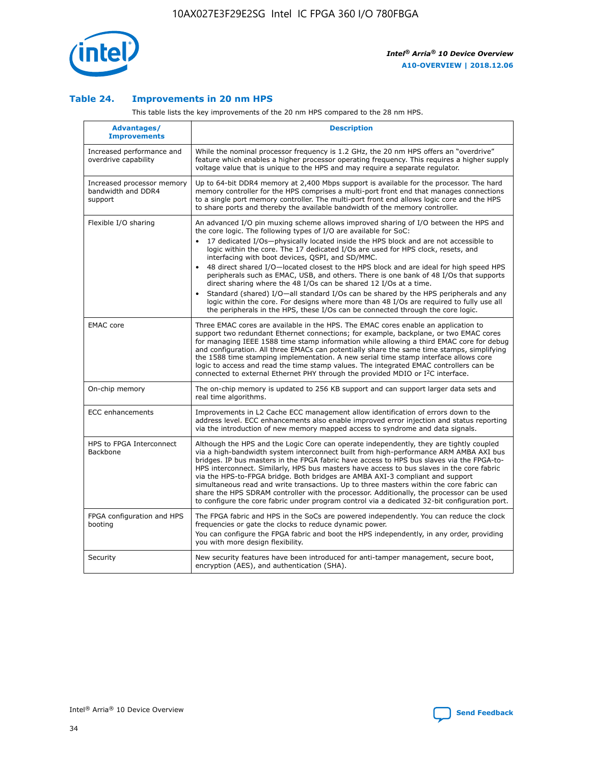![](_page_34_Picture_1.jpeg)

#### **Table 24. Improvements in 20 nm HPS**

This table lists the key improvements of the 20 nm HPS compared to the 28 nm HPS.

| Advantages/<br><b>Improvements</b>                          | <b>Description</b>                                                                                                                                                                                                                                                                                                                                                                                                                                                                                                                                                                                                                                                                                                                                                                                                                                                                                                                                |
|-------------------------------------------------------------|---------------------------------------------------------------------------------------------------------------------------------------------------------------------------------------------------------------------------------------------------------------------------------------------------------------------------------------------------------------------------------------------------------------------------------------------------------------------------------------------------------------------------------------------------------------------------------------------------------------------------------------------------------------------------------------------------------------------------------------------------------------------------------------------------------------------------------------------------------------------------------------------------------------------------------------------------|
| Increased performance and<br>overdrive capability           | While the nominal processor frequency is 1.2 GHz, the 20 nm HPS offers an "overdrive"<br>feature which enables a higher processor operating frequency. This requires a higher supply<br>voltage value that is unique to the HPS and may require a separate regulator.                                                                                                                                                                                                                                                                                                                                                                                                                                                                                                                                                                                                                                                                             |
| Increased processor memory<br>bandwidth and DDR4<br>support | Up to 64-bit DDR4 memory at 2,400 Mbps support is available for the processor. The hard<br>memory controller for the HPS comprises a multi-port front end that manages connections<br>to a single port memory controller. The multi-port front end allows logic core and the HPS<br>to share ports and thereby the available bandwidth of the memory controller.                                                                                                                                                                                                                                                                                                                                                                                                                                                                                                                                                                                  |
| Flexible I/O sharing                                        | An advanced I/O pin muxing scheme allows improved sharing of I/O between the HPS and<br>the core logic. The following types of I/O are available for SoC:<br>$\bullet$<br>17 dedicated I/Os-physically located inside the HPS block and are not accessible to<br>logic within the core. The 17 dedicated I/Os are used for HPS clock, resets, and<br>interfacing with boot devices, QSPI, and SD/MMC.<br>48 direct shared I/O-located closest to the HPS block and are ideal for high speed HPS<br>$\bullet$<br>peripherals such as EMAC, USB, and others. There is one bank of 48 I/Os that supports<br>direct sharing where the 48 I/Os can be shared 12 I/Os at a time.<br>Standard (shared) I/O-all standard I/Os can be shared by the HPS peripherals and any<br>logic within the core. For designs where more than 48 I/Os are required to fully use all<br>the peripherals in the HPS, these I/Os can be connected through the core logic. |
| <b>EMAC</b> core                                            | Three EMAC cores are available in the HPS. The EMAC cores enable an application to<br>support two redundant Ethernet connections; for example, backplane, or two EMAC cores<br>for managing IEEE 1588 time stamp information while allowing a third EMAC core for debug<br>and configuration. All three EMACs can potentially share the same time stamps, simplifying<br>the 1588 time stamping implementation. A new serial time stamp interface allows core<br>logic to access and read the time stamp values. The integrated EMAC controllers can be<br>connected to external Ethernet PHY through the provided MDIO or I <sup>2</sup> C interface.                                                                                                                                                                                                                                                                                            |
| On-chip memory                                              | The on-chip memory is updated to 256 KB support and can support larger data sets and<br>real time algorithms.                                                                                                                                                                                                                                                                                                                                                                                                                                                                                                                                                                                                                                                                                                                                                                                                                                     |
| <b>ECC</b> enhancements                                     | Improvements in L2 Cache ECC management allow identification of errors down to the<br>address level. ECC enhancements also enable improved error injection and status reporting<br>via the introduction of new memory mapped access to syndrome and data signals.                                                                                                                                                                                                                                                                                                                                                                                                                                                                                                                                                                                                                                                                                 |
| HPS to FPGA Interconnect<br>Backbone                        | Although the HPS and the Logic Core can operate independently, they are tightly coupled<br>via a high-bandwidth system interconnect built from high-performance ARM AMBA AXI bus<br>bridges. IP bus masters in the FPGA fabric have access to HPS bus slaves via the FPGA-to-<br>HPS interconnect. Similarly, HPS bus masters have access to bus slaves in the core fabric<br>via the HPS-to-FPGA bridge. Both bridges are AMBA AXI-3 compliant and support<br>simultaneous read and write transactions. Up to three masters within the core fabric can<br>share the HPS SDRAM controller with the processor. Additionally, the processor can be used<br>to configure the core fabric under program control via a dedicated 32-bit configuration port.                                                                                                                                                                                            |
| FPGA configuration and HPS<br>booting                       | The FPGA fabric and HPS in the SoCs are powered independently. You can reduce the clock<br>frequencies or gate the clocks to reduce dynamic power.<br>You can configure the FPGA fabric and boot the HPS independently, in any order, providing<br>you with more design flexibility.                                                                                                                                                                                                                                                                                                                                                                                                                                                                                                                                                                                                                                                              |
| Security                                                    | New security features have been introduced for anti-tamper management, secure boot,<br>encryption (AES), and authentication (SHA).                                                                                                                                                                                                                                                                                                                                                                                                                                                                                                                                                                                                                                                                                                                                                                                                                |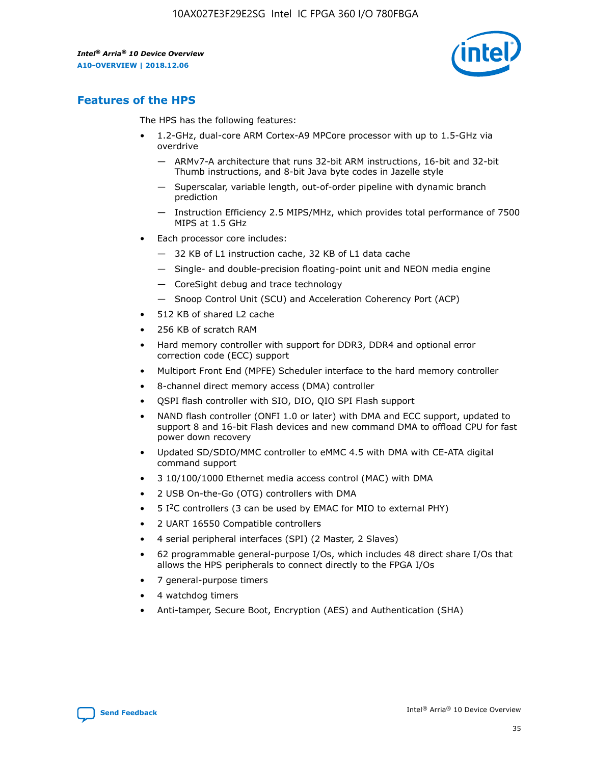![](_page_35_Picture_2.jpeg)

## **Features of the HPS**

The HPS has the following features:

- 1.2-GHz, dual-core ARM Cortex-A9 MPCore processor with up to 1.5-GHz via overdrive
	- ARMv7-A architecture that runs 32-bit ARM instructions, 16-bit and 32-bit Thumb instructions, and 8-bit Java byte codes in Jazelle style
	- Superscalar, variable length, out-of-order pipeline with dynamic branch prediction
	- Instruction Efficiency 2.5 MIPS/MHz, which provides total performance of 7500 MIPS at 1.5 GHz
- Each processor core includes:
	- 32 KB of L1 instruction cache, 32 KB of L1 data cache
	- Single- and double-precision floating-point unit and NEON media engine
	- CoreSight debug and trace technology
	- Snoop Control Unit (SCU) and Acceleration Coherency Port (ACP)
- 512 KB of shared L2 cache
- 256 KB of scratch RAM
- Hard memory controller with support for DDR3, DDR4 and optional error correction code (ECC) support
- Multiport Front End (MPFE) Scheduler interface to the hard memory controller
- 8-channel direct memory access (DMA) controller
- QSPI flash controller with SIO, DIO, QIO SPI Flash support
- NAND flash controller (ONFI 1.0 or later) with DMA and ECC support, updated to support 8 and 16-bit Flash devices and new command DMA to offload CPU for fast power down recovery
- Updated SD/SDIO/MMC controller to eMMC 4.5 with DMA with CE-ATA digital command support
- 3 10/100/1000 Ethernet media access control (MAC) with DMA
- 2 USB On-the-Go (OTG) controllers with DMA
- $\bullet$  5 I<sup>2</sup>C controllers (3 can be used by EMAC for MIO to external PHY)
- 2 UART 16550 Compatible controllers
- 4 serial peripheral interfaces (SPI) (2 Master, 2 Slaves)
- 62 programmable general-purpose I/Os, which includes 48 direct share I/Os that allows the HPS peripherals to connect directly to the FPGA I/Os
- 7 general-purpose timers
- 4 watchdog timers
- Anti-tamper, Secure Boot, Encryption (AES) and Authentication (SHA)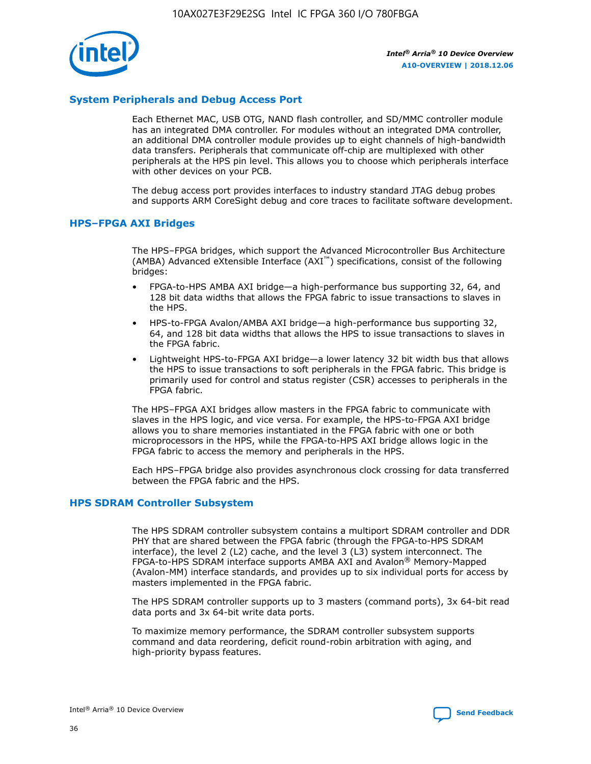![](_page_36_Picture_1.jpeg)

#### **System Peripherals and Debug Access Port**

Each Ethernet MAC, USB OTG, NAND flash controller, and SD/MMC controller module has an integrated DMA controller. For modules without an integrated DMA controller, an additional DMA controller module provides up to eight channels of high-bandwidth data transfers. Peripherals that communicate off-chip are multiplexed with other peripherals at the HPS pin level. This allows you to choose which peripherals interface with other devices on your PCB.

The debug access port provides interfaces to industry standard JTAG debug probes and supports ARM CoreSight debug and core traces to facilitate software development.

#### **HPS–FPGA AXI Bridges**

The HPS–FPGA bridges, which support the Advanced Microcontroller Bus Architecture (AMBA) Advanced eXtensible Interface (AXI™) specifications, consist of the following bridges:

- FPGA-to-HPS AMBA AXI bridge—a high-performance bus supporting 32, 64, and 128 bit data widths that allows the FPGA fabric to issue transactions to slaves in the HPS.
- HPS-to-FPGA Avalon/AMBA AXI bridge—a high-performance bus supporting 32, 64, and 128 bit data widths that allows the HPS to issue transactions to slaves in the FPGA fabric.
- Lightweight HPS-to-FPGA AXI bridge—a lower latency 32 bit width bus that allows the HPS to issue transactions to soft peripherals in the FPGA fabric. This bridge is primarily used for control and status register (CSR) accesses to peripherals in the FPGA fabric.

The HPS–FPGA AXI bridges allow masters in the FPGA fabric to communicate with slaves in the HPS logic, and vice versa. For example, the HPS-to-FPGA AXI bridge allows you to share memories instantiated in the FPGA fabric with one or both microprocessors in the HPS, while the FPGA-to-HPS AXI bridge allows logic in the FPGA fabric to access the memory and peripherals in the HPS.

Each HPS–FPGA bridge also provides asynchronous clock crossing for data transferred between the FPGA fabric and the HPS.

#### **HPS SDRAM Controller Subsystem**

The HPS SDRAM controller subsystem contains a multiport SDRAM controller and DDR PHY that are shared between the FPGA fabric (through the FPGA-to-HPS SDRAM interface), the level 2 (L2) cache, and the level 3 (L3) system interconnect. The FPGA-to-HPS SDRAM interface supports AMBA AXI and Avalon® Memory-Mapped (Avalon-MM) interface standards, and provides up to six individual ports for access by masters implemented in the FPGA fabric.

The HPS SDRAM controller supports up to 3 masters (command ports), 3x 64-bit read data ports and 3x 64-bit write data ports.

To maximize memory performance, the SDRAM controller subsystem supports command and data reordering, deficit round-robin arbitration with aging, and high-priority bypass features.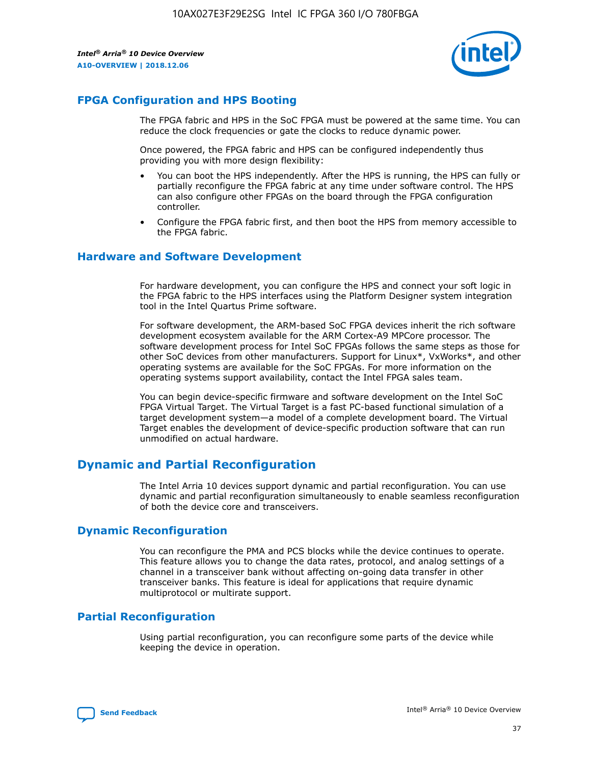![](_page_37_Picture_2.jpeg)

## **FPGA Configuration and HPS Booting**

The FPGA fabric and HPS in the SoC FPGA must be powered at the same time. You can reduce the clock frequencies or gate the clocks to reduce dynamic power.

Once powered, the FPGA fabric and HPS can be configured independently thus providing you with more design flexibility:

- You can boot the HPS independently. After the HPS is running, the HPS can fully or partially reconfigure the FPGA fabric at any time under software control. The HPS can also configure other FPGAs on the board through the FPGA configuration controller.
- Configure the FPGA fabric first, and then boot the HPS from memory accessible to the FPGA fabric.

#### **Hardware and Software Development**

For hardware development, you can configure the HPS and connect your soft logic in the FPGA fabric to the HPS interfaces using the Platform Designer system integration tool in the Intel Quartus Prime software.

For software development, the ARM-based SoC FPGA devices inherit the rich software development ecosystem available for the ARM Cortex-A9 MPCore processor. The software development process for Intel SoC FPGAs follows the same steps as those for other SoC devices from other manufacturers. Support for Linux\*, VxWorks\*, and other operating systems are available for the SoC FPGAs. For more information on the operating systems support availability, contact the Intel FPGA sales team.

You can begin device-specific firmware and software development on the Intel SoC FPGA Virtual Target. The Virtual Target is a fast PC-based functional simulation of a target development system—a model of a complete development board. The Virtual Target enables the development of device-specific production software that can run unmodified on actual hardware.

## **Dynamic and Partial Reconfiguration**

The Intel Arria 10 devices support dynamic and partial reconfiguration. You can use dynamic and partial reconfiguration simultaneously to enable seamless reconfiguration of both the device core and transceivers.

## **Dynamic Reconfiguration**

You can reconfigure the PMA and PCS blocks while the device continues to operate. This feature allows you to change the data rates, protocol, and analog settings of a channel in a transceiver bank without affecting on-going data transfer in other transceiver banks. This feature is ideal for applications that require dynamic multiprotocol or multirate support.

## **Partial Reconfiguration**

Using partial reconfiguration, you can reconfigure some parts of the device while keeping the device in operation.

![](_page_37_Picture_18.jpeg)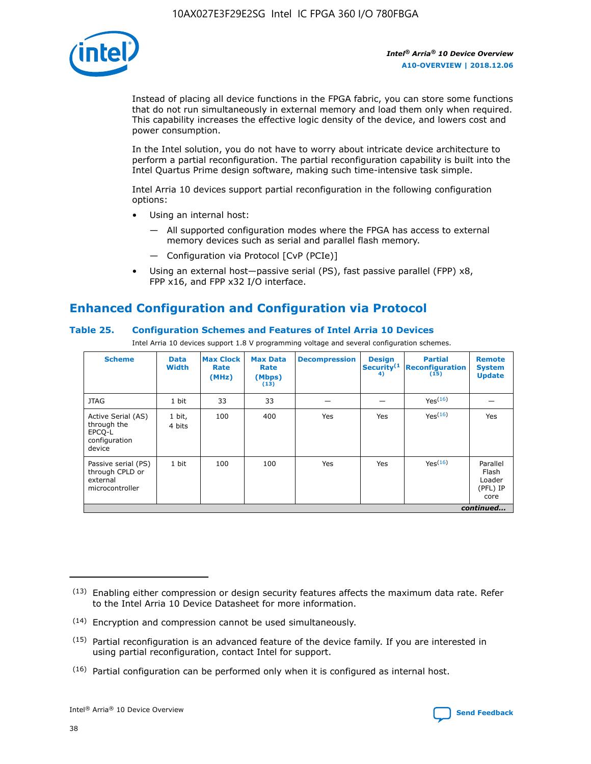![](_page_38_Picture_1.jpeg)

Instead of placing all device functions in the FPGA fabric, you can store some functions that do not run simultaneously in external memory and load them only when required. This capability increases the effective logic density of the device, and lowers cost and power consumption.

In the Intel solution, you do not have to worry about intricate device architecture to perform a partial reconfiguration. The partial reconfiguration capability is built into the Intel Quartus Prime design software, making such time-intensive task simple.

Intel Arria 10 devices support partial reconfiguration in the following configuration options:

- Using an internal host:
	- All supported configuration modes where the FPGA has access to external memory devices such as serial and parallel flash memory.
	- Configuration via Protocol [CvP (PCIe)]
- Using an external host—passive serial (PS), fast passive parallel (FPP) x8, FPP x16, and FPP x32 I/O interface.

## **Enhanced Configuration and Configuration via Protocol**

#### **Table 25. Configuration Schemes and Features of Intel Arria 10 Devices**

Intel Arria 10 devices support 1.8 V programming voltage and several configuration schemes.

| <b>Scheme</b>                                                          | <b>Data</b><br><b>Width</b> | <b>Max Clock</b><br>Rate<br>(MHz) | <b>Max Data</b><br>Rate<br>(Mbps)<br>(13) | <b>Decompression</b> | <b>Design</b><br>Security <sup>(1</sup><br>4) | <b>Partial</b><br><b>Reconfiguration</b><br>(15) | <b>Remote</b><br><b>System</b><br><b>Update</b> |
|------------------------------------------------------------------------|-----------------------------|-----------------------------------|-------------------------------------------|----------------------|-----------------------------------------------|--------------------------------------------------|-------------------------------------------------|
| <b>JTAG</b>                                                            | 1 bit                       | 33                                | 33                                        |                      |                                               | Yes(16)                                          |                                                 |
| Active Serial (AS)<br>through the<br>EPCO-L<br>configuration<br>device | 1 bit,<br>4 bits            | 100                               | 400                                       | Yes                  | Yes                                           | $Y_{PS}(16)$                                     | Yes                                             |
| Passive serial (PS)<br>through CPLD or<br>external<br>microcontroller  | 1 bit                       | 100                               | 100                                       | Yes                  | Yes                                           | Yes(16)                                          | Parallel<br>Flash<br>Loader<br>(PFL) IP<br>core |
|                                                                        |                             |                                   |                                           |                      |                                               |                                                  | continued                                       |

<sup>(13)</sup> Enabling either compression or design security features affects the maximum data rate. Refer to the Intel Arria 10 Device Datasheet for more information.

<sup>(14)</sup> Encryption and compression cannot be used simultaneously.

 $<sup>(15)</sup>$  Partial reconfiguration is an advanced feature of the device family. If you are interested in</sup> using partial reconfiguration, contact Intel for support.

 $(16)$  Partial configuration can be performed only when it is configured as internal host.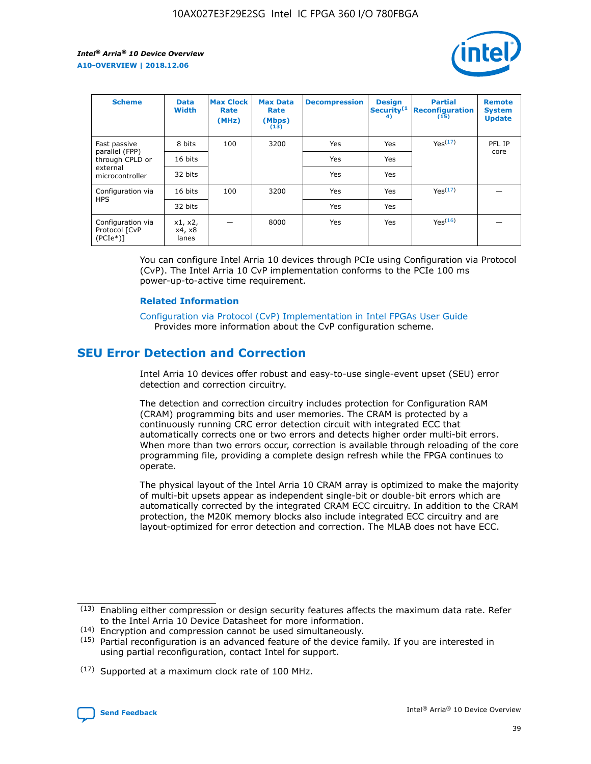![](_page_39_Picture_2.jpeg)

| <b>Scheme</b>                                   | <b>Data</b><br><b>Width</b> | <b>Max Clock</b><br>Rate<br>(MHz) | <b>Max Data</b><br>Rate<br>(Mbps)<br>(13) | <b>Decompression</b> | <b>Design</b><br>Security <sup>(1</sup><br>4) | <b>Partial</b><br><b>Reconfiguration</b><br>(15) | <b>Remote</b><br><b>System</b><br><b>Update</b> |
|-------------------------------------------------|-----------------------------|-----------------------------------|-------------------------------------------|----------------------|-----------------------------------------------|--------------------------------------------------|-------------------------------------------------|
| Fast passive                                    | 8 bits                      | 100                               | 3200                                      | Yes                  | Yes                                           | Yes(17)                                          | PFL IP                                          |
| parallel (FPP)<br>through CPLD or               | 16 bits                     |                                   |                                           | Yes                  | Yes                                           |                                                  | core                                            |
| external<br>microcontroller                     | 32 bits                     |                                   |                                           | Yes                  | Yes                                           |                                                  |                                                 |
| Configuration via                               | 16 bits                     | 100                               | 3200                                      | Yes                  | Yes                                           | Yes <sup>(17)</sup>                              |                                                 |
| <b>HPS</b>                                      | 32 bits                     |                                   |                                           | Yes                  | Yes                                           |                                                  |                                                 |
| Configuration via<br>Protocol [CvP<br>$(PCIe*)$ | x1, x2,<br>x4, x8<br>lanes  |                                   | 8000                                      | Yes                  | Yes                                           | Yes(16)                                          |                                                 |

You can configure Intel Arria 10 devices through PCIe using Configuration via Protocol (CvP). The Intel Arria 10 CvP implementation conforms to the PCIe 100 ms power-up-to-active time requirement.

#### **Related Information**

[Configuration via Protocol \(CvP\) Implementation in Intel FPGAs User Guide](https://www.intel.com/content/www/us/en/programmable/documentation/dsu1441819344145.html#dsu1442269728522) Provides more information about the CvP configuration scheme.

## **SEU Error Detection and Correction**

Intel Arria 10 devices offer robust and easy-to-use single-event upset (SEU) error detection and correction circuitry.

The detection and correction circuitry includes protection for Configuration RAM (CRAM) programming bits and user memories. The CRAM is protected by a continuously running CRC error detection circuit with integrated ECC that automatically corrects one or two errors and detects higher order multi-bit errors. When more than two errors occur, correction is available through reloading of the core programming file, providing a complete design refresh while the FPGA continues to operate.

The physical layout of the Intel Arria 10 CRAM array is optimized to make the majority of multi-bit upsets appear as independent single-bit or double-bit errors which are automatically corrected by the integrated CRAM ECC circuitry. In addition to the CRAM protection, the M20K memory blocks also include integrated ECC circuitry and are layout-optimized for error detection and correction. The MLAB does not have ECC.

(14) Encryption and compression cannot be used simultaneously.

<sup>(17)</sup> Supported at a maximum clock rate of 100 MHz.

![](_page_39_Picture_15.jpeg)

 $(13)$  Enabling either compression or design security features affects the maximum data rate. Refer to the Intel Arria 10 Device Datasheet for more information.

 $(15)$  Partial reconfiguration is an advanced feature of the device family. If you are interested in using partial reconfiguration, contact Intel for support.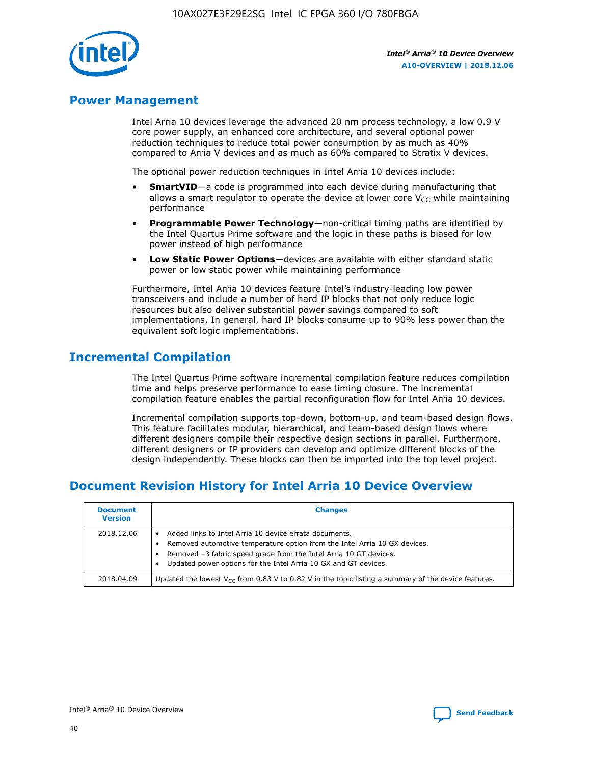![](_page_40_Picture_1.jpeg)

## **Power Management**

Intel Arria 10 devices leverage the advanced 20 nm process technology, a low 0.9 V core power supply, an enhanced core architecture, and several optional power reduction techniques to reduce total power consumption by as much as 40% compared to Arria V devices and as much as 60% compared to Stratix V devices.

The optional power reduction techniques in Intel Arria 10 devices include:

- **SmartVID**—a code is programmed into each device during manufacturing that allows a smart regulator to operate the device at lower core  $V_{CC}$  while maintaining performance
- **Programmable Power Technology**—non-critical timing paths are identified by the Intel Quartus Prime software and the logic in these paths is biased for low power instead of high performance
- **Low Static Power Options**—devices are available with either standard static power or low static power while maintaining performance

Furthermore, Intel Arria 10 devices feature Intel's industry-leading low power transceivers and include a number of hard IP blocks that not only reduce logic resources but also deliver substantial power savings compared to soft implementations. In general, hard IP blocks consume up to 90% less power than the equivalent soft logic implementations.

## **Incremental Compilation**

The Intel Quartus Prime software incremental compilation feature reduces compilation time and helps preserve performance to ease timing closure. The incremental compilation feature enables the partial reconfiguration flow for Intel Arria 10 devices.

Incremental compilation supports top-down, bottom-up, and team-based design flows. This feature facilitates modular, hierarchical, and team-based design flows where different designers compile their respective design sections in parallel. Furthermore, different designers or IP providers can develop and optimize different blocks of the design independently. These blocks can then be imported into the top level project.

## **Document Revision History for Intel Arria 10 Device Overview**

| <b>Document</b><br><b>Version</b> | <b>Changes</b>                                                                                                                                                                                                                                                              |
|-----------------------------------|-----------------------------------------------------------------------------------------------------------------------------------------------------------------------------------------------------------------------------------------------------------------------------|
| 2018.12.06                        | Added links to Intel Arria 10 device errata documents.<br>Removed automotive temperature option from the Intel Arria 10 GX devices.<br>Removed -3 fabric speed grade from the Intel Arria 10 GT devices.<br>Updated power options for the Intel Arria 10 GX and GT devices. |
| 2018.04.09                        | Updated the lowest $V_{CC}$ from 0.83 V to 0.82 V in the topic listing a summary of the device features.                                                                                                                                                                    |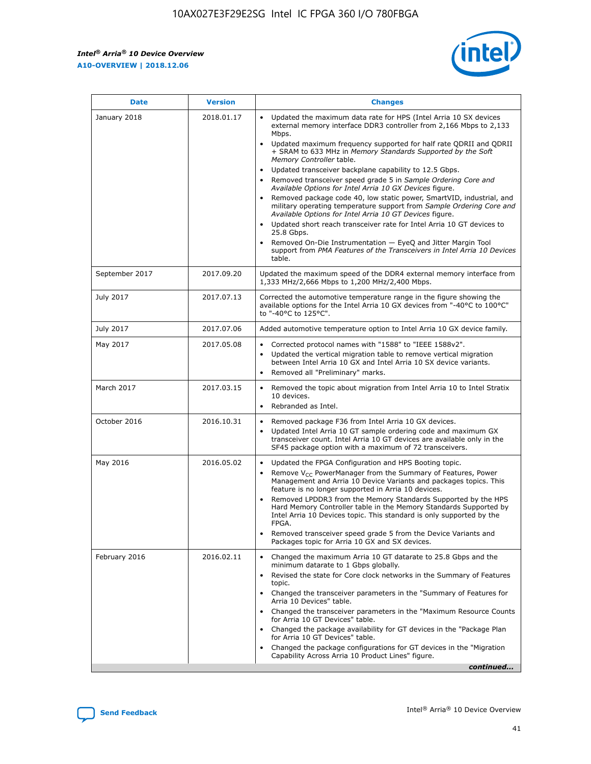![](_page_41_Picture_2.jpeg)

| <b>Date</b>    | <b>Version</b> | <b>Changes</b>                                                                                                                                                                                                                                                                                                                                                                                                                                                                                                                                                                                                                                                                                                                                                                                                                                                                                                                                                            |
|----------------|----------------|---------------------------------------------------------------------------------------------------------------------------------------------------------------------------------------------------------------------------------------------------------------------------------------------------------------------------------------------------------------------------------------------------------------------------------------------------------------------------------------------------------------------------------------------------------------------------------------------------------------------------------------------------------------------------------------------------------------------------------------------------------------------------------------------------------------------------------------------------------------------------------------------------------------------------------------------------------------------------|
| January 2018   | 2018.01.17     | Updated the maximum data rate for HPS (Intel Arria 10 SX devices<br>external memory interface DDR3 controller from 2,166 Mbps to 2,133<br>Mbps.<br>Updated maximum frequency supported for half rate QDRII and QDRII<br>+ SRAM to 633 MHz in Memory Standards Supported by the Soft<br>Memory Controller table.<br>Updated transceiver backplane capability to 12.5 Gbps.<br>$\bullet$<br>Removed transceiver speed grade 5 in Sample Ordering Core and<br>Available Options for Intel Arria 10 GX Devices figure.<br>Removed package code 40, low static power, SmartVID, industrial, and<br>military operating temperature support from Sample Ordering Core and<br>Available Options for Intel Arria 10 GT Devices figure.<br>Updated short reach transceiver rate for Intel Arria 10 GT devices to<br>25.8 Gbps.<br>Removed On-Die Instrumentation - EyeQ and Jitter Margin Tool<br>support from PMA Features of the Transceivers in Intel Arria 10 Devices<br>table. |
| September 2017 | 2017.09.20     | Updated the maximum speed of the DDR4 external memory interface from<br>1,333 MHz/2,666 Mbps to 1,200 MHz/2,400 Mbps.                                                                                                                                                                                                                                                                                                                                                                                                                                                                                                                                                                                                                                                                                                                                                                                                                                                     |
| July 2017      | 2017.07.13     | Corrected the automotive temperature range in the figure showing the<br>available options for the Intel Arria 10 GX devices from "-40°C to 100°C"<br>to "-40°C to 125°C".                                                                                                                                                                                                                                                                                                                                                                                                                                                                                                                                                                                                                                                                                                                                                                                                 |
| July 2017      | 2017.07.06     | Added automotive temperature option to Intel Arria 10 GX device family.                                                                                                                                                                                                                                                                                                                                                                                                                                                                                                                                                                                                                                                                                                                                                                                                                                                                                                   |
| May 2017       | 2017.05.08     | Corrected protocol names with "1588" to "IEEE 1588v2".<br>Updated the vertical migration table to remove vertical migration<br>between Intel Arria 10 GX and Intel Arria 10 SX device variants.<br>Removed all "Preliminary" marks.                                                                                                                                                                                                                                                                                                                                                                                                                                                                                                                                                                                                                                                                                                                                       |
| March 2017     | 2017.03.15     | Removed the topic about migration from Intel Arria 10 to Intel Stratix<br>10 devices.<br>Rebranded as Intel.<br>$\bullet$                                                                                                                                                                                                                                                                                                                                                                                                                                                                                                                                                                                                                                                                                                                                                                                                                                                 |
| October 2016   | 2016.10.31     | Removed package F36 from Intel Arria 10 GX devices.<br>Updated Intel Arria 10 GT sample ordering code and maximum GX<br>$\bullet$<br>transceiver count. Intel Arria 10 GT devices are available only in the<br>SF45 package option with a maximum of 72 transceivers.                                                                                                                                                                                                                                                                                                                                                                                                                                                                                                                                                                                                                                                                                                     |
| May 2016       | 2016.05.02     | Updated the FPGA Configuration and HPS Booting topic.<br>Remove V <sub>CC</sub> PowerManager from the Summary of Features, Power<br>Management and Arria 10 Device Variants and packages topics. This<br>feature is no longer supported in Arria 10 devices.<br>Removed LPDDR3 from the Memory Standards Supported by the HPS<br>Hard Memory Controller table in the Memory Standards Supported by<br>Intel Arria 10 Devices topic. This standard is only supported by the<br>FPGA.<br>Removed transceiver speed grade 5 from the Device Variants and<br>Packages topic for Arria 10 GX and SX devices.                                                                                                                                                                                                                                                                                                                                                                   |
| February 2016  | 2016.02.11     | Changed the maximum Arria 10 GT datarate to 25.8 Gbps and the<br>minimum datarate to 1 Gbps globally.<br>Revised the state for Core clock networks in the Summary of Features<br>$\bullet$<br>topic.<br>Changed the transceiver parameters in the "Summary of Features for<br>Arria 10 Devices" table.<br>• Changed the transceiver parameters in the "Maximum Resource Counts<br>for Arria 10 GT Devices" table.<br>• Changed the package availability for GT devices in the "Package Plan<br>for Arria 10 GT Devices" table.<br>Changed the package configurations for GT devices in the "Migration"<br>Capability Across Arria 10 Product Lines" figure.<br>continued                                                                                                                                                                                                                                                                                                  |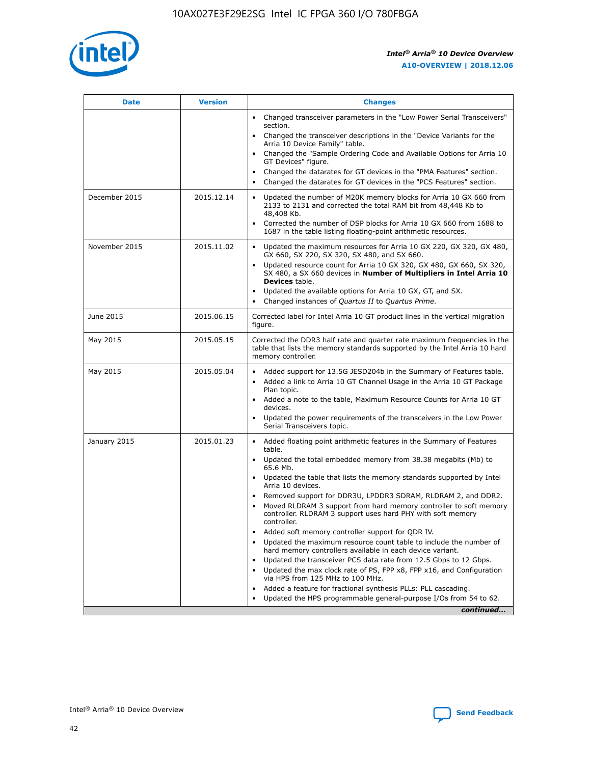![](_page_42_Picture_1.jpeg)

| <b>Date</b>   | <b>Version</b> | <b>Changes</b>                                                                                                                                                               |
|---------------|----------------|------------------------------------------------------------------------------------------------------------------------------------------------------------------------------|
|               |                | • Changed transceiver parameters in the "Low Power Serial Transceivers"<br>section.                                                                                          |
|               |                | • Changed the transceiver descriptions in the "Device Variants for the<br>Arria 10 Device Family" table.                                                                     |
|               |                | Changed the "Sample Ordering Code and Available Options for Arria 10<br>$\bullet$<br>GT Devices" figure.                                                                     |
|               |                | Changed the datarates for GT devices in the "PMA Features" section.                                                                                                          |
|               |                | Changed the datarates for GT devices in the "PCS Features" section.<br>$\bullet$                                                                                             |
| December 2015 | 2015.12.14     | Updated the number of M20K memory blocks for Arria 10 GX 660 from<br>2133 to 2131 and corrected the total RAM bit from 48,448 Kb to<br>48,408 Kb.                            |
|               |                | Corrected the number of DSP blocks for Arria 10 GX 660 from 1688 to<br>1687 in the table listing floating-point arithmetic resources.                                        |
| November 2015 | 2015.11.02     | Updated the maximum resources for Arria 10 GX 220, GX 320, GX 480,<br>$\bullet$<br>GX 660, SX 220, SX 320, SX 480, and SX 660.                                               |
|               |                | • Updated resource count for Arria 10 GX 320, GX 480, GX 660, SX 320,<br>SX 480, a SX 660 devices in Number of Multipliers in Intel Arria 10<br><b>Devices</b> table.        |
|               |                | Updated the available options for Arria 10 GX, GT, and SX.                                                                                                                   |
|               |                | Changed instances of Quartus II to Quartus Prime.<br>$\bullet$                                                                                                               |
| June 2015     | 2015.06.15     | Corrected label for Intel Arria 10 GT product lines in the vertical migration<br>figure.                                                                                     |
| May 2015      | 2015.05.15     | Corrected the DDR3 half rate and quarter rate maximum frequencies in the<br>table that lists the memory standards supported by the Intel Arria 10 hard<br>memory controller. |
| May 2015      | 2015.05.04     | • Added support for 13.5G JESD204b in the Summary of Features table.                                                                                                         |
|               |                | • Added a link to Arria 10 GT Channel Usage in the Arria 10 GT Package<br>Plan topic.                                                                                        |
|               |                | • Added a note to the table, Maximum Resource Counts for Arria 10 GT<br>devices.                                                                                             |
|               |                | • Updated the power requirements of the transceivers in the Low Power<br>Serial Transceivers topic.                                                                          |
| January 2015  | 2015.01.23     | • Added floating point arithmetic features in the Summary of Features<br>table.                                                                                              |
|               |                | • Updated the total embedded memory from 38.38 megabits (Mb) to<br>65.6 Mb.                                                                                                  |
|               |                | • Updated the table that lists the memory standards supported by Intel<br>Arria 10 devices.                                                                                  |
|               |                | Removed support for DDR3U, LPDDR3 SDRAM, RLDRAM 2, and DDR2.                                                                                                                 |
|               |                | Moved RLDRAM 3 support from hard memory controller to soft memory<br>controller. RLDRAM 3 support uses hard PHY with soft memory<br>controller.                              |
|               |                | Added soft memory controller support for QDR IV.<br>٠                                                                                                                        |
|               |                | Updated the maximum resource count table to include the number of<br>hard memory controllers available in each device variant.                                               |
|               |                | Updated the transceiver PCS data rate from 12.5 Gbps to 12 Gbps.<br>$\bullet$                                                                                                |
|               |                | Updated the max clock rate of PS, FPP x8, FPP x16, and Configuration<br>via HPS from 125 MHz to 100 MHz.                                                                     |
|               |                | Added a feature for fractional synthesis PLLs: PLL cascading.                                                                                                                |
|               |                | Updated the HPS programmable general-purpose I/Os from 54 to 62.<br>$\bullet$                                                                                                |
|               |                | continued                                                                                                                                                                    |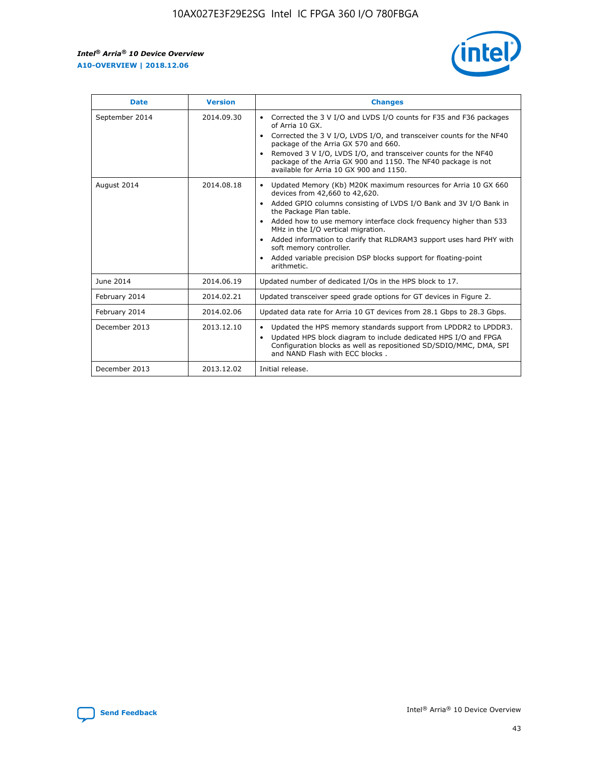![](_page_43_Picture_2.jpeg)

| <b>Date</b>    | <b>Version</b> | <b>Changes</b>                                                                                                                                                                                                                                                                                                                                                                                                                                                                                                                                                   |
|----------------|----------------|------------------------------------------------------------------------------------------------------------------------------------------------------------------------------------------------------------------------------------------------------------------------------------------------------------------------------------------------------------------------------------------------------------------------------------------------------------------------------------------------------------------------------------------------------------------|
| September 2014 | 2014.09.30     | Corrected the 3 V I/O and LVDS I/O counts for F35 and F36 packages<br>$\bullet$<br>of Arria 10 GX.<br>Corrected the 3 V I/O, LVDS I/O, and transceiver counts for the NF40<br>$\bullet$<br>package of the Arria GX 570 and 660.<br>Removed 3 V I/O, LVDS I/O, and transceiver counts for the NF40<br>$\bullet$<br>package of the Arria GX 900 and 1150. The NF40 package is not<br>available for Arria 10 GX 900 and 1150.                                                                                                                                       |
| August 2014    | 2014.08.18     | Updated Memory (Kb) M20K maximum resources for Arria 10 GX 660<br>$\bullet$<br>devices from 42,660 to 42,620.<br>Added GPIO columns consisting of LVDS I/O Bank and 3V I/O Bank in<br>$\bullet$<br>the Package Plan table.<br>Added how to use memory interface clock frequency higher than 533<br>$\bullet$<br>MHz in the I/O vertical migration.<br>Added information to clarify that RLDRAM3 support uses hard PHY with<br>$\bullet$<br>soft memory controller.<br>Added variable precision DSP blocks support for floating-point<br>$\bullet$<br>arithmetic. |
| June 2014      | 2014.06.19     | Updated number of dedicated I/Os in the HPS block to 17.                                                                                                                                                                                                                                                                                                                                                                                                                                                                                                         |
| February 2014  | 2014.02.21     | Updated transceiver speed grade options for GT devices in Figure 2.                                                                                                                                                                                                                                                                                                                                                                                                                                                                                              |
| February 2014  | 2014.02.06     | Updated data rate for Arria 10 GT devices from 28.1 Gbps to 28.3 Gbps.                                                                                                                                                                                                                                                                                                                                                                                                                                                                                           |
| December 2013  | 2013.12.10     | Updated the HPS memory standards support from LPDDR2 to LPDDR3.<br>٠<br>Updated HPS block diagram to include dedicated HPS I/O and FPGA<br>$\bullet$<br>Configuration blocks as well as repositioned SD/SDIO/MMC, DMA, SPI<br>and NAND Flash with ECC blocks.                                                                                                                                                                                                                                                                                                    |
| December 2013  | 2013.12.02     | Initial release.                                                                                                                                                                                                                                                                                                                                                                                                                                                                                                                                                 |

![](_page_43_Picture_4.jpeg)